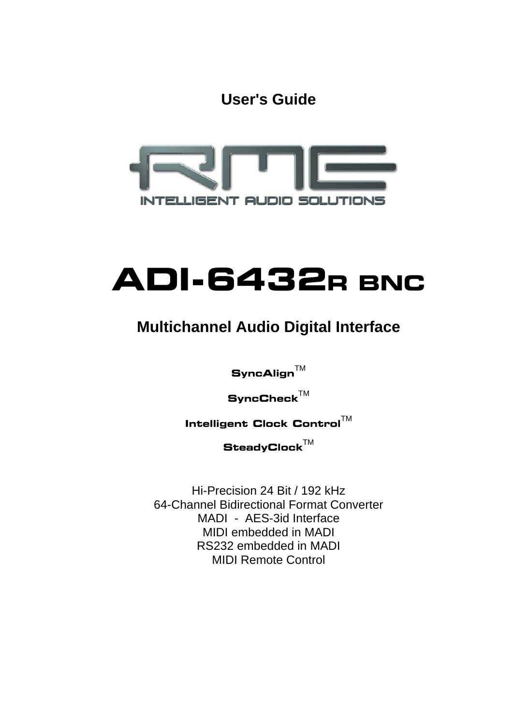**User's Guide**



# **ADI-6432R BNC**

### **Multichannel Audio Digital Interface**

 $\mathbf S$ yncAlign $^{\mathsf{TM}}$ 

 $\mathbf S$ ync**C**heck $^{\mathsf{TM}}$ 

**Intelligent Clock Control™** 

 $\mathbf{SteadyClock}^{\text{TM}}$ 

Hi-Precision 24 Bit / 192 kHz 64-Channel Bidirectional Format Converter MADI - AES-3id Interface MIDI embedded in MADI RS232 embedded in MADI MIDI Remote Control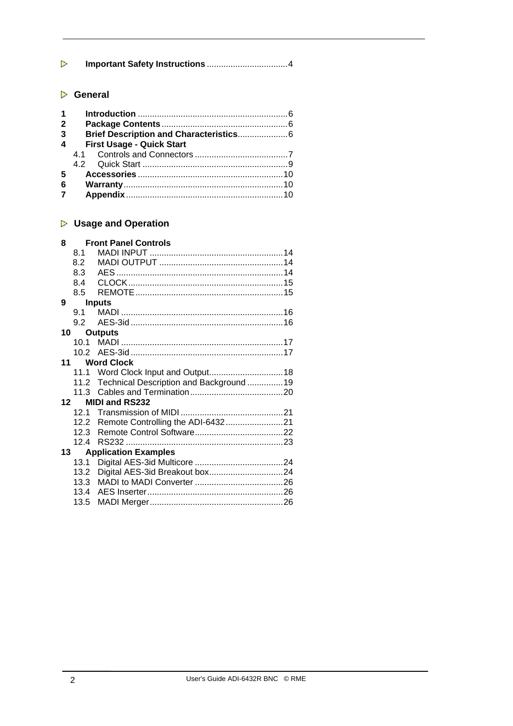| Þ              |                |                                               |
|----------------|----------------|-----------------------------------------------|
|                |                |                                               |
| Þ              | <b>General</b> |                                               |
| 1              |                |                                               |
| $\overline{2}$ |                |                                               |
| 3              |                | Brief Description and Characteristics 6       |
| 4              |                | <b>First Usage - Quick Start</b>              |
|                | 4.1            |                                               |
|                | 4.2            |                                               |
| 5              |                |                                               |
| 6              |                |                                               |
| 7              |                |                                               |
|                |                |                                               |
|                |                |                                               |
| Þ              |                | <b>Usage and Operation</b>                    |
| 8              |                | <b>Front Panel Controls</b>                   |
|                | 8.1            |                                               |
|                | 8.2            |                                               |
|                | 8.3            |                                               |
|                | 8.4            |                                               |
|                | 8.5            |                                               |
| 9              |                | <b>Inputs</b>                                 |
|                | 9.1            |                                               |
|                | 9.2            |                                               |
| 10             |                | <b>Outputs</b>                                |
|                | 10.1           |                                               |
|                | 10.2           |                                               |
| 11             |                | <b>Word Clock</b>                             |
|                | 11.1           |                                               |
|                |                | 11.2 Technical Description and Background  19 |
|                | 11.3           |                                               |
|                | 12             | <b>MIDI and RS232</b>                         |
|                | 12.2           |                                               |
|                | 12.3           |                                               |
|                | 124            | RS232<br>23                                   |
| 13             |                | <b>Application Examples</b>                   |
|                | 13.1           |                                               |
|                | 13.2           |                                               |
|                | 13.3           |                                               |
|                | 13.4           |                                               |
|                | 13.5           |                                               |
|                |                |                                               |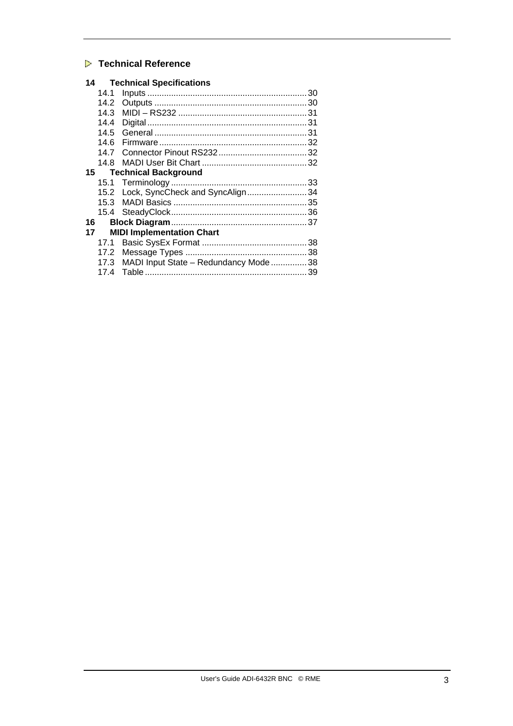#### **Technical Reference**

| 14.1 |                                                                                                                                                                                               |
|------|-----------------------------------------------------------------------------------------------------------------------------------------------------------------------------------------------|
| 14.2 |                                                                                                                                                                                               |
| 14.3 |                                                                                                                                                                                               |
| 14.4 |                                                                                                                                                                                               |
| 14.5 |                                                                                                                                                                                               |
| 14.6 |                                                                                                                                                                                               |
| 14.7 |                                                                                                                                                                                               |
| 14.8 |                                                                                                                                                                                               |
| 15   |                                                                                                                                                                                               |
|      |                                                                                                                                                                                               |
|      |                                                                                                                                                                                               |
|      |                                                                                                                                                                                               |
|      |                                                                                                                                                                                               |
| 16   |                                                                                                                                                                                               |
| 17   |                                                                                                                                                                                               |
|      |                                                                                                                                                                                               |
|      |                                                                                                                                                                                               |
|      |                                                                                                                                                                                               |
| 17.4 |                                                                                                                                                                                               |
|      | <b>14 Technical Specifications</b><br><b>Technical Background</b><br>15.2 Lock, SyncCheck and SyncAlign 34<br><b>MIDI Implementation Chart</b><br>17.3 MADI Input State - Redundancy Mode  38 |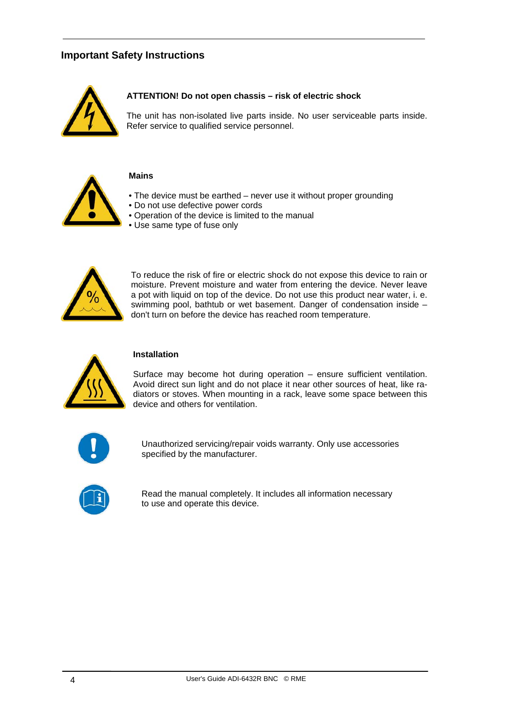#### **Important Safety Instructions**



#### **ATTENTION! Do not open chassis – risk of electric shock**

The unit has non-isolated live parts inside. No user serviceable parts inside. Refer service to qualified service personnel.



#### **Mains**

- The device must be earthed never use it without proper grounding
- Do not use defective power cords
- Operation of the device is limited to the manual
- Use same type of fuse only



To reduce the risk of fire or electric shock do not expose this device to rain or moisture. Prevent moisture and water from entering the device. Never leave a pot with liquid on top of the device. Do not use this product near water, i. e. swimming pool, bathtub or wet basement. Danger of condensation inside – don't turn on before the device has reached room temperature.



#### **Installation**

Surface may become hot during operation – ensure sufficient ventilation. Avoid direct sun light and do not place it near other sources of heat, like radiators or stoves. When mounting in a rack, leave some space between this device and others for ventilation.



Unauthorized servicing/repair voids warranty. Only use accessories specified by the manufacturer.



Read the manual completely. It includes all information necessary to use and operate this device.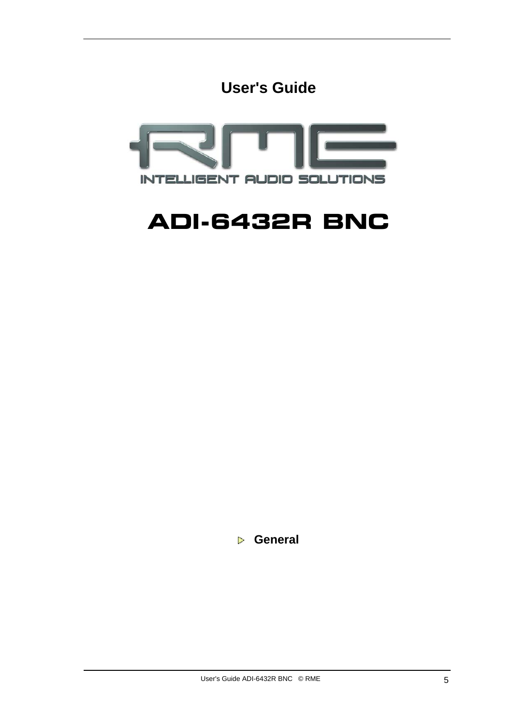**User's Guide**



## **ADI-6432R BNC**

 **General**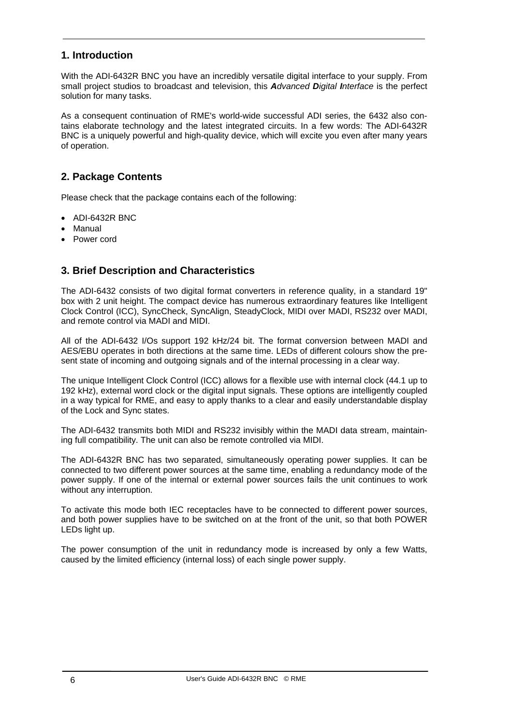#### **1. Introduction**

With the ADI-6432R BNC you have an incredibly versatile digital interface to your supply. From small project studios to broadcast and television, this *Advanced Digital Interface* is the perfect solution for many tasks.

As a consequent continuation of RME's world-wide successful ADI series, the 6432 also contains elaborate technology and the latest integrated circuits. In a few words: The ADI-6432R BNC is a uniquely powerful and high-quality device, which will excite you even after many years of operation.

#### **2. Package Contents**

Please check that the package contains each of the following:

- ADI-6432R BNC
- Manual
- Power cord

#### **3. Brief Description and Characteristics**

The ADI-6432 consists of two digital format converters in reference quality, in a standard 19" box with 2 unit height. The compact device has numerous extraordinary features like Intelligent Clock Control (ICC), SyncCheck, SyncAlign, SteadyClock, MIDI over MADI, RS232 over MADI, and remote control via MADI and MIDI.

All of the ADI-6432 I/Os support 192 kHz/24 bit. The format conversion between MADI and AES/EBU operates in both directions at the same time. LEDs of different colours show the present state of incoming and outgoing signals and of the internal processing in a clear way.

The unique Intelligent Clock Control (ICC) allows for a flexible use with internal clock (44.1 up to 192 kHz), external word clock or the digital input signals. These options are intelligently coupled in a way typical for RME, and easy to apply thanks to a clear and easily understandable display of the Lock and Sync states.

The ADI-6432 transmits both MIDI and RS232 invisibly within the MADI data stream, maintaining full compatibility. The unit can also be remote controlled via MIDI.

The ADI-6432R BNC has two separated, simultaneously operating power supplies. It can be connected to two different power sources at the same time, enabling a redundancy mode of the power supply. If one of the internal or external power sources fails the unit continues to work without any interruption.

To activate this mode both IEC receptacles have to be connected to different power sources, and both power supplies have to be switched on at the front of the unit, so that both POWER LEDs light up.

The power consumption of the unit in redundancy mode is increased by only a few Watts, caused by the limited efficiency (internal loss) of each single power supply.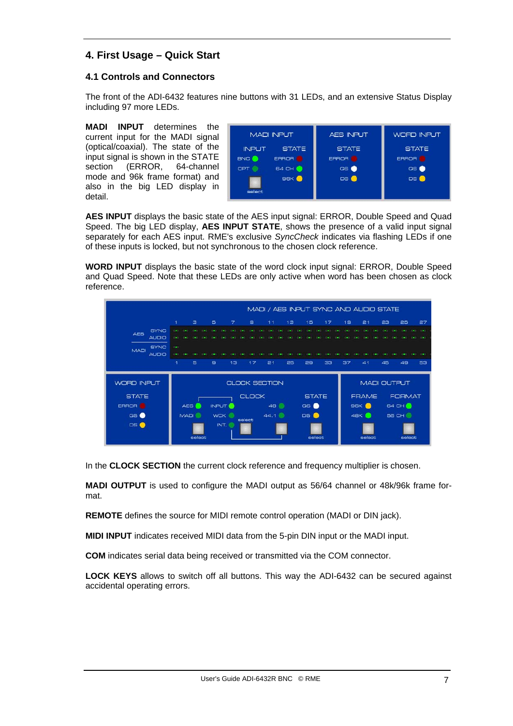#### **4. First Usage – Quick Start**

#### **4.1 Controls and Connectors**

The front of the ADI-6432 features nine buttons with 31 LEDs, and an extensive Status Display including 97 more LEDs.

**MADI INPUT** determines the current input for the MADI signal (optical/coaxial). The state of the input signal is shown in the STATE section (ERROR, 64-channel mode and 96k frame format) and also in the big LED display in detail.



**AES INPUT** displays the basic state of the AES input signal: ERROR, Double Speed and Quad Speed. The big LED display, **AES INPUT STATE**, shows the presence of a valid input signal separately for each AES input. RME's exclusive *SyncCheck* indicates via flashing LEDs if one of these inputs is locked, but not synchronous to the chosen clock reference.

**WORD INPUT** displays the basic state of the word clock input signal: ERROR, Double Speed and Quad Speed. Note that these LEDs are only active when word has been chosen as clock reference.



In the **CLOCK SECTION** the current clock reference and frequency multiplier is chosen.

**MADI OUTPUT** is used to configure the MADI output as 56/64 channel or 48k/96k frame format.

**REMOTE** defines the source for MIDI remote control operation (MADI or DIN jack).

**MIDI INPUT** indicates received MIDI data from the 5-pin DIN input or the MADI input.

**COM** indicates serial data being received or transmitted via the COM connector.

**LOCK KEYS** allows to switch off all buttons. This way the ADI-6432 can be secured against accidental operating errors.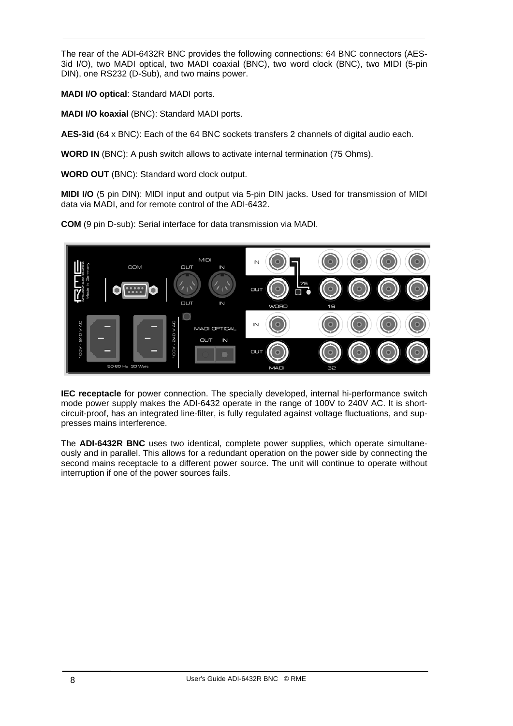The rear of the ADI-6432R BNC provides the following connections: 64 BNC connectors (AES-3id I/O), two MADI optical, two MADI coaxial (BNC), two word clock (BNC), two MIDI (5-pin DIN), one RS232 (D-Sub), and two mains power.

**MADI I/O optical**: Standard MADI ports.

**MADI I/O koaxial** (BNC): Standard MADI ports.

**AES-3id** (64 x BNC): Each of the 64 BNC sockets transfers 2 channels of digital audio each.

**WORD IN** (BNC): A push switch allows to activate internal termination (75 Ohms).

**WORD OUT** (BNC): Standard word clock output.

**MIDI I/O** (5 pin DIN): MIDI input and output via 5-pin DIN jacks. Used for transmission of MIDI data via MADI, and for remote control of the ADI-6432.

**COM** (9 pin D-sub): Serial interface for data transmission via MADI.



**IEC receptacle** for power connection. The specially developed, internal hi-performance switch mode power supply makes the ADI-6432 operate in the range of 100V to 240V AC. It is shortcircuit-proof, has an integrated line-filter, is fully regulated against voltage fluctuations, and suppresses mains interference.

The **ADI-6432R BNC** uses two identical, complete power supplies, which operate simultaneously and in parallel. This allows for a redundant operation on the power side by connecting the second mains receptacle to a different power source. The unit will continue to operate without interruption if one of the power sources fails.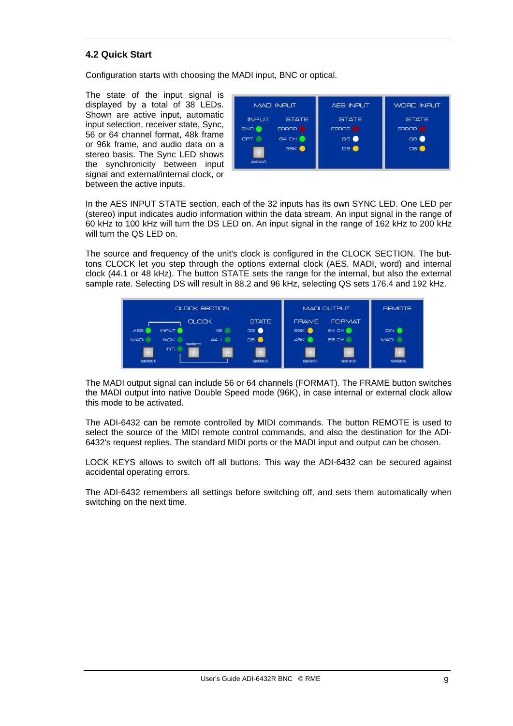#### **4.2 Quick Start**

Configuration starts with choosing the MADI input, BNC or optical.

The state of the input signal is displayed by a total of 38 LEDs. Shown are active input, automatic input selection, receiver state, Sync, 56 or 64 channel format, 48k frame or 96k frame, and audio data on a stereo basis. The Sync LED shows the synchronicity between input signal and external/internal clock, or between the active inputs.



In the AES INPUT STATE section, each of the 32 inputs has its own SYNC LED. One LED per (stereo) input indicates audio information within the data stream. An input signal in the range of 60 kHz to 100 kHz will turn the DS LED on. An input signal in the range of 162 kHz to 200 kHz will turn the QS LED on.

The source and frequency of the unit's clock is configured in the CLOCK SECTION. The buttons CLOCK let you step through the options external clock (AES, MADI, word) and internal clock (44.1 or 48 kHz). The button STATE sets the range for the internal, but also the external sample rate. Selecting DS will result in 88.2 and 96 kHz, selecting QS sets 176.4 and 192 kHz.



The MADI output signal can include 56 or 64 channels (FORMAT). The FRAME button switches the MADI output into native Double Speed mode (96K), in case internal or external clock allow this mode to be activated.

The ADI-6432 can be remote controlled by MIDI commands. The button REMOTE is used to select the source of the MIDI remote control commands, and also the destination for the ADI-6432's request replies. The standard MIDI ports or the MADI input and output can be chosen.

LOCK KEYS allows to switch off all buttons. This way the ADI-6432 can be secured against accidental operating errors.

The ADI-6432 remembers all settings before switching off, and sets them automatically when switching on the next time.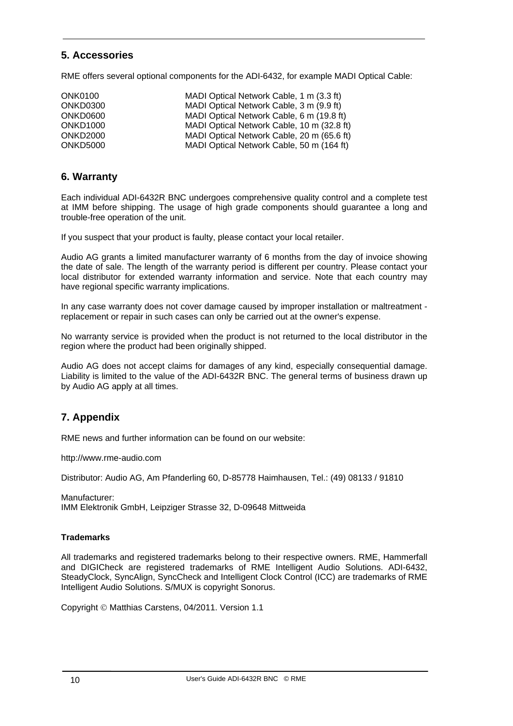#### **5. Accessories**

RME offers several optional components for the ADI-6432, for example MADI Optical Cable:

| <b>ONK0100</b>       | MADI Optical Network Cable, 1 m (3.3 ft)   |
|----------------------|--------------------------------------------|
| ONKD0300             | MADI Optical Network Cable, 3 m (9.9 ft)   |
| ONKD0600             | MADI Optical Network Cable, 6 m (19.8 ft)  |
| ONKD <sub>1000</sub> | MADI Optical Network Cable, 10 m (32.8 ft) |
| ONKD <sub>2000</sub> | MADI Optical Network Cable, 20 m (65.6 ft) |
| ONKD5000             | MADI Optical Network Cable, 50 m (164 ft)  |

#### **6. Warranty**

Each individual ADI-6432R BNC undergoes comprehensive quality control and a complete test at IMM before shipping. The usage of high grade components should guarantee a long and trouble-free operation of the unit.

If you suspect that your product is faulty, please contact your local retailer.

Audio AG grants a limited manufacturer warranty of 6 months from the day of invoice showing the date of sale. The length of the warranty period is different per country. Please contact your local distributor for extended warranty information and service. Note that each country may have regional specific warranty implications.

In any case warranty does not cover damage caused by improper installation or maltreatment replacement or repair in such cases can only be carried out at the owner's expense.

No warranty service is provided when the product is not returned to the local distributor in the region where the product had been originally shipped.

Audio AG does not accept claims for damages of any kind, especially consequential damage. Liability is limited to the value of the ADI-6432R BNC. The general terms of business drawn up by Audio AG apply at all times.

#### **7. Appendix**

RME news and further information can be found on our website:

http://www.rme-audio.com

Distributor: Audio AG, Am Pfanderling 60, D-85778 Haimhausen, Tel.: (49) 08133 / 91810

Manufacturer: IMM Elektronik GmbH, Leipziger Strasse 32, D-09648 Mittweida

#### **Trademarks**

All trademarks and registered trademarks belong to their respective owners. RME, Hammerfall and DIGICheck are registered trademarks of RME Intelligent Audio Solutions. ADI-6432, SteadyClock, SyncAlign, SyncCheck and Intelligent Clock Control (ICC) are trademarks of RME Intelligent Audio Solutions. S/MUX is copyright Sonorus.

Copyright © Matthias Carstens, 04/2011. Version 1.1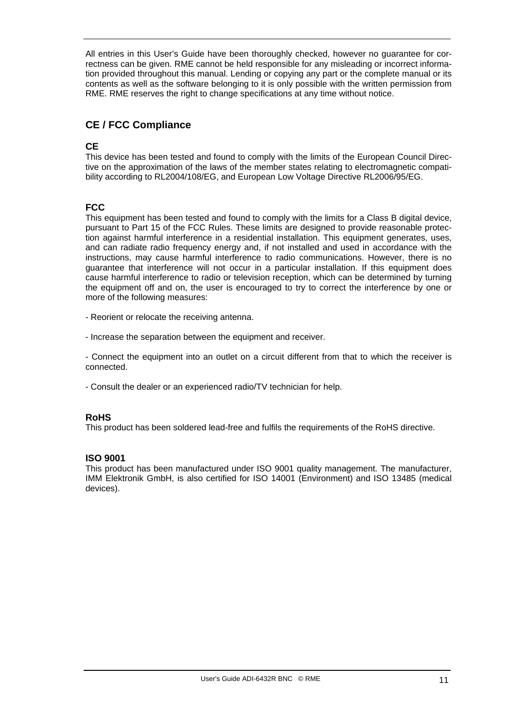All entries in this User's Guide have been thoroughly checked, however no guarantee for correctness can be given. RME cannot be held responsible for any misleading or incorrect information provided throughout this manual. Lending or copying any part or the complete manual or its contents as well as the software belonging to it is only possible with the written permission from RME. RME reserves the right to change specifications at any time without notice.

#### **CE / FCC Compliance**

#### **CE**

This device has been tested and found to comply with the limits of the European Council Directive on the approximation of the laws of the member states relating to electromagnetic compatibility according to RL2004/108/EG, and European Low Voltage Directive RL2006/95/EG.

#### **FCC**

This equipment has been tested and found to comply with the limits for a Class B digital device, pursuant to Part 15 of the FCC Rules. These limits are designed to provide reasonable protection against harmful interference in a residential installation. This equipment generates, uses, and can radiate radio frequency energy and, if not installed and used in accordance with the instructions, may cause harmful interference to radio communications. However, there is no guarantee that interference will not occur in a particular installation. If this equipment does cause harmful interference to radio or television reception, which can be determined by turning the equipment off and on, the user is encouraged to try to correct the interference by one or more of the following measures:

- Reorient or relocate the receiving antenna.

- Increase the separation between the equipment and receiver.

- Connect the equipment into an outlet on a circuit different from that to which the receiver is connected.

- Consult the dealer or an experienced radio/TV technician for help.

#### **RoHS**

This product has been soldered lead-free and fulfils the requirements of the RoHS directive.

#### **ISO 9001**

This product has been manufactured under ISO 9001 quality management. The manufacturer, IMM Elektronik GmbH, is also certified for ISO 14001 (Environment) and ISO 13485 (medical devices).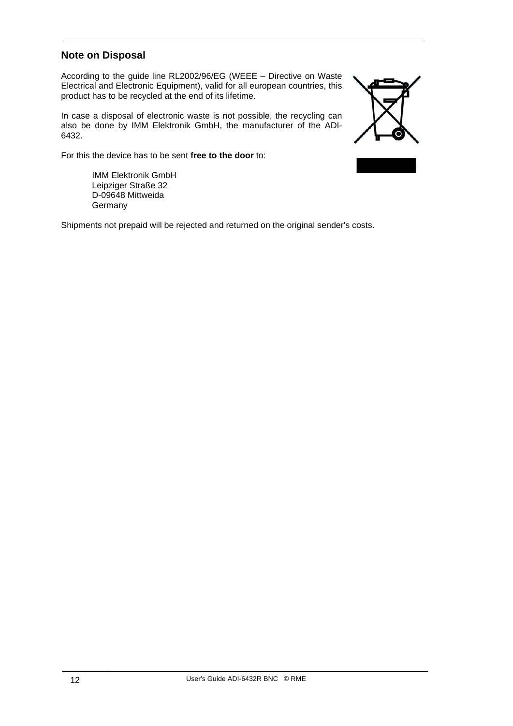#### **Note on Disposal**

According to the guide line RL2002/96/EG (WEEE – Directive on Waste Electrical and Electronic Equipment), valid for all european countries, this product has to be recycled at the end of its lifetime.

In case a disposal of electronic waste is not possible, the recycling can also be done by IMM Elektronik GmbH, the manufacturer of the ADI-6432.

For this the device has to be sent **free to the door** to:

 IMM Elektronik GmbH Leipziger Straße 32 D-09648 Mittweida **Germany** 

Shipments not prepaid will be rejected and returned on the original sender's costs.

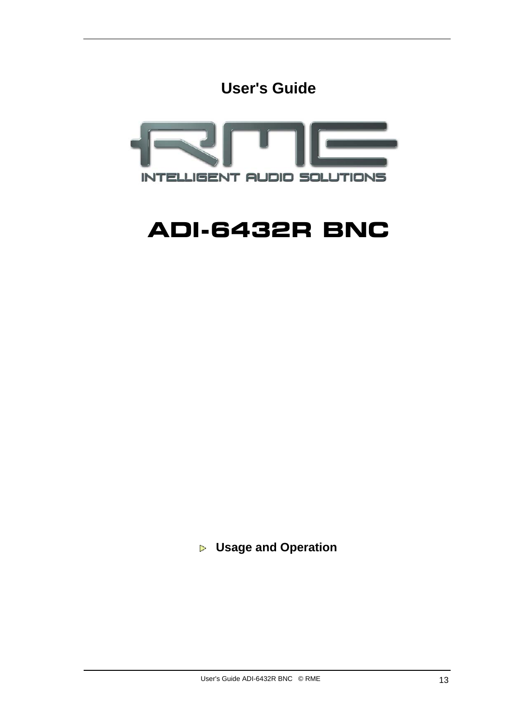**User's Guide**



## **ADI-6432R BNC**

 **Usage and Operation**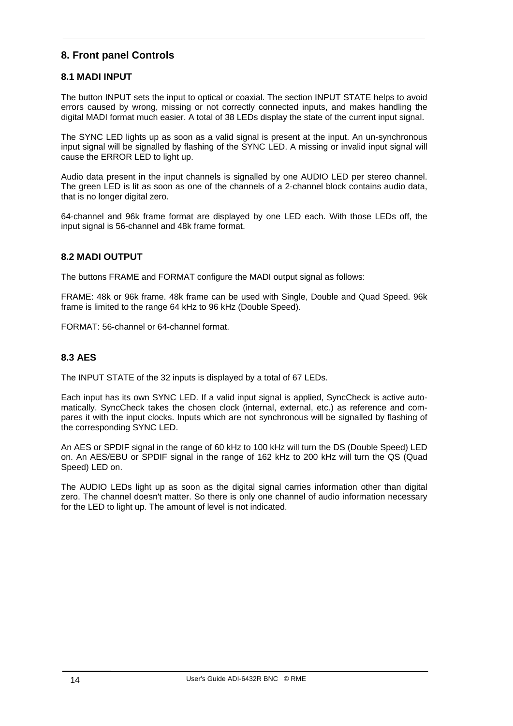#### **8. Front panel Controls**

#### **8.1 MADI INPUT**

The button INPUT sets the input to optical or coaxial. The section INPUT STATE helps to avoid errors caused by wrong, missing or not correctly connected inputs, and makes handling the digital MADI format much easier. A total of 38 LEDs display the state of the current input signal.

The SYNC LED lights up as soon as a valid signal is present at the input. An un-synchronous input signal will be signalled by flashing of the SYNC LED. A missing or invalid input signal will cause the ERROR LED to light up.

Audio data present in the input channels is signalled by one AUDIO LED per stereo channel. The green LED is lit as soon as one of the channels of a 2-channel block contains audio data, that is no longer digital zero.

64-channel and 96k frame format are displayed by one LED each. With those LEDs off, the input signal is 56-channel and 48k frame format.

#### **8.2 MADI OUTPUT**

The buttons FRAME and FORMAT configure the MADI output signal as follows:

FRAME: 48k or 96k frame. 48k frame can be used with Single, Double and Quad Speed. 96k frame is limited to the range 64 kHz to 96 kHz (Double Speed).

FORMAT: 56-channel or 64-channel format.

#### **8.3 AES**

The INPUT STATE of the 32 inputs is displayed by a total of 67 LEDs.

Each input has its own SYNC LED. If a valid input signal is applied, SyncCheck is active automatically. SyncCheck takes the chosen clock (internal, external, etc.) as reference and compares it with the input clocks. Inputs which are not synchronous will be signalled by flashing of the corresponding SYNC LED.

An AES or SPDIF signal in the range of 60 kHz to 100 kHz will turn the DS (Double Speed) LED on. An AES/EBU or SPDIF signal in the range of 162 kHz to 200 kHz will turn the QS (Quad Speed) LED on.

The AUDIO LEDs light up as soon as the digital signal carries information other than digital zero. The channel doesn't matter. So there is only one channel of audio information necessary for the LED to light up. The amount of level is not indicated.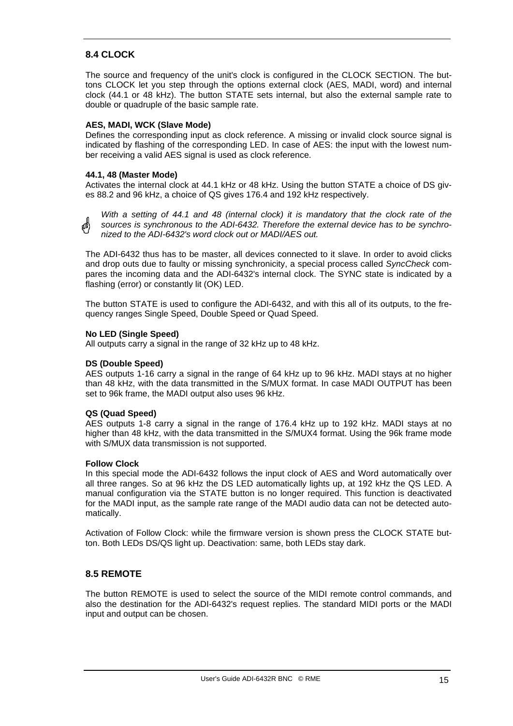#### **8.4 CLOCK**

The source and frequency of the unit's clock is configured in the CLOCK SECTION. The buttons CLOCK let you step through the options external clock (AES, MADI, word) and internal clock (44.1 or 48 kHz). The button STATE sets internal, but also the external sample rate to double or quadruple of the basic sample rate.

#### **AES, MADI, WCK (Slave Mode)**

Defines the corresponding input as clock reference. A missing or invalid clock source signal is indicated by flashing of the corresponding LED. In case of AES: the input with the lowest number receiving a valid AES signal is used as clock reference.

#### **44.1, 48 (Master Mode)**

Activates the internal clock at 44.1 kHz or 48 kHz. Using the button STATE a choice of DS gives 88.2 and 96 kHz, a choice of QS gives 176.4 and 192 kHz respectively.

*With a setting of 44.1 and 48 (internal clock) it is mandatory that the clock rate of the*  ๗ *sources is synchronous to the ADI-6432. Therefore the external device has to be synchronized to the ADI-6432's word clock out or MADI/AES out.*

The ADI-6432 thus has to be master, all devices connected to it slave. In order to avoid clicks and drop outs due to faulty or missing synchronicity, a special process called *SyncCheck* compares the incoming data and the ADI-6432's internal clock. The SYNC state is indicated by a flashing (error) or constantly lit (OK) LED.

The button STATE is used to configure the ADI-6432, and with this all of its outputs, to the frequency ranges Single Speed, Double Speed or Quad Speed.

#### **No LED (Single Speed)**

All outputs carry a signal in the range of 32 kHz up to 48 kHz.

#### **DS (Double Speed)**

AES outputs 1-16 carry a signal in the range of 64 kHz up to 96 kHz. MADI stays at no higher than 48 kHz, with the data transmitted in the S/MUX format. In case MADI OUTPUT has been set to 96k frame, the MADI output also uses 96 kHz.

#### **QS (Quad Speed)**

AES outputs 1-8 carry a signal in the range of 176.4 kHz up to 192 kHz. MADI stays at no higher than 48 kHz, with the data transmitted in the S/MUX4 format. Using the 96k frame mode with S/MUX data transmission is not supported.

#### **Follow Clock**

In this special mode the ADI-6432 follows the input clock of AES and Word automatically over all three ranges. So at 96 kHz the DS LED automatically lights up, at 192 kHz the QS LED. A manual configuration via the STATE button is no longer required. This function is deactivated for the MADI input, as the sample rate range of the MADI audio data can not be detected automatically.

Activation of Follow Clock: while the firmware version is shown press the CLOCK STATE button. Both LEDs DS/QS light up. Deactivation: same, both LEDs stay dark.

#### **8.5 REMOTE**

The button REMOTE is used to select the source of the MIDI remote control commands, and also the destination for the ADI-6432's request replies. The standard MIDI ports or the MADI input and output can be chosen.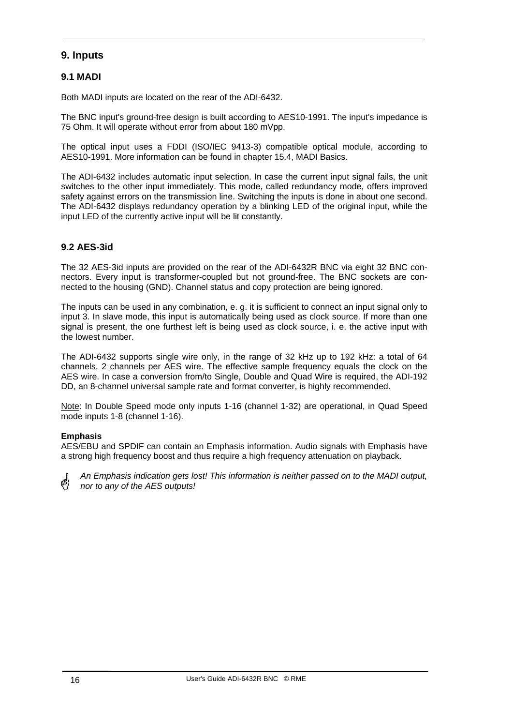#### **9. Inputs**

#### **9.1 MADI**

Both MADI inputs are located on the rear of the ADI-6432.

The BNC input's ground-free design is built according to AES10-1991. The input's impedance is 75 Ohm. It will operate without error from about 180 mVpp.

The optical input uses a FDDI (ISO/IEC 9413-3) compatible optical module, according to AES10-1991. More information can be found in chapter 15.4, MADI Basics.

The ADI-6432 includes automatic input selection. In case the current input signal fails, the unit switches to the other input immediately. This mode, called redundancy mode, offers improved safety against errors on the transmission line. Switching the inputs is done in about one second. The ADI-6432 displays redundancy operation by a blinking LED of the original input, while the input LED of the currently active input will be lit constantly.

#### **9.2 AES-3id**

The 32 AES-3id inputs are provided on the rear of the ADI-6432R BNC via eight 32 BNC connectors. Every input is transformer-coupled but not ground-free. The BNC sockets are connected to the housing (GND). Channel status and copy protection are being ignored.

The inputs can be used in any combination, e. g. it is sufficient to connect an input signal only to input 3. In slave mode, this input is automatically being used as clock source. If more than one signal is present, the one furthest left is being used as clock source, i. e. the active input with the lowest number.

The ADI-6432 supports single wire only, in the range of 32 kHz up to 192 kHz: a total of 64 channels, 2 channels per AES wire. The effective sample frequency equals the clock on the AES wire. In case a conversion from/to Single, Double and Quad Wire is required, the ADI-192 DD, an 8-channel universal sample rate and format converter, is highly recommended.

Note: In Double Speed mode only inputs 1-16 (channel 1-32) are operational, in Quad Speed mode inputs 1-8 (channel 1-16).

#### **Emphasis**

AES/EBU and SPDIF can contain an Emphasis information. Audio signals with Emphasis have a strong high frequency boost and thus require a high frequency attenuation on playback.

@!)

*An Emphasis indication gets lost! This information is neither passed on to the MADI output, nor to any of the AES outputs!*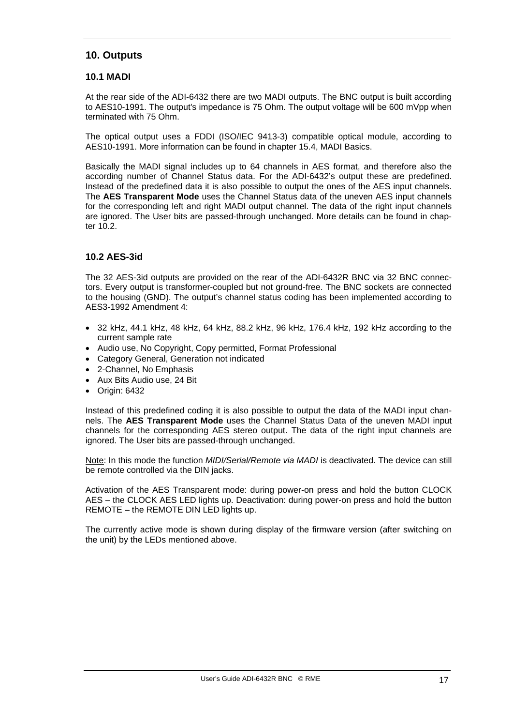#### **10. Outputs**

#### **10.1 MADI**

At the rear side of the ADI-6432 there are two MADI outputs. The BNC output is built according to AES10-1991. The output's impedance is 75 Ohm. The output voltage will be 600 mVpp when terminated with 75 Ohm.

The optical output uses a FDDI (ISO/IEC 9413-3) compatible optical module, according to AES10-1991. More information can be found in chapter 15.4, MADI Basics.

Basically the MADI signal includes up to 64 channels in AES format, and therefore also the according number of Channel Status data. For the ADI-6432's output these are predefined. Instead of the predefined data it is also possible to output the ones of the AES input channels. The **AES Transparent Mode** uses the Channel Status data of the uneven AES input channels for the corresponding left and right MADI output channel. The data of the right input channels are ignored. The User bits are passed-through unchanged. More details can be found in chapter 10.2.

#### **10.2 AES-3id**

The 32 AES-3id outputs are provided on the rear of the ADI-6432R BNC via 32 BNC connectors. Every output is transformer-coupled but not ground-free. The BNC sockets are connected to the housing (GND). The output's channel status coding has been implemented according to AES3-1992 Amendment 4:

- 32 kHz, 44.1 kHz, 48 kHz, 64 kHz, 88.2 kHz, 96 kHz, 176.4 kHz, 192 kHz according to the current sample rate
- Audio use, No Copyright, Copy permitted, Format Professional
- Category General, Generation not indicated
- 2-Channel, No Emphasis
- Aux Bits Audio use, 24 Bit
- Origin: 6432

Instead of this predefined coding it is also possible to output the data of the MADI input channels. The **AES Transparent Mode** uses the Channel Status Data of the uneven MADI input channels for the corresponding AES stereo output. The data of the right input channels are ignored. The User bits are passed-through unchanged.

Note: In this mode the function *MIDI/Serial/Remote via MADI* is deactivated. The device can still be remote controlled via the DIN jacks.

Activation of the AES Transparent mode: during power-on press and hold the button CLOCK AES – the CLOCK AES LED lights up. Deactivation: during power-on press and hold the button REMOTE – the REMOTE DIN LED lights up.

The currently active mode is shown during display of the firmware version (after switching on the unit) by the LEDs mentioned above.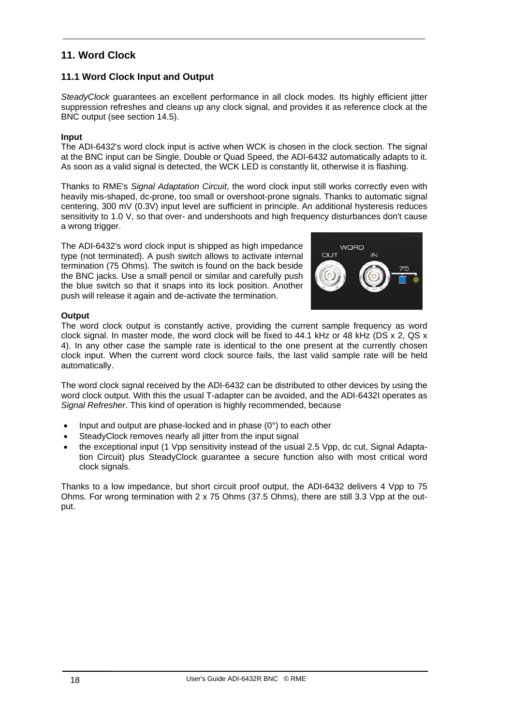#### **11. Word Clock**

#### **11.1 Word Clock Input and Output**

*SteadyClock* guarantees an excellent performance in all clock modes. Its highly efficient jitter suppression refreshes and cleans up any clock signal, and provides it as reference clock at the BNC output (see section 14.5).

#### **Input**

The ADI-6432's word clock input is active when WCK is chosen in the clock section. The signal at the BNC input can be Single, Double or Quad Speed, the ADI-6432 automatically adapts to it. As soon as a valid signal is detected, the WCK LED is constantly lit, otherwise it is flashing.

Thanks to RME's *Signal Adaptation Circuit*, the word clock input still works correctly even with heavily mis-shaped, dc-prone, too small or overshoot-prone signals. Thanks to automatic signal centering, 300 mV (0.3V) input level are sufficient in principle. An additional hysteresis reduces sensitivity to 1.0 V, so that over- and undershoots and high frequency disturbances don't cause a wrong trigger.

The ADI-6432's word clock input is shipped as high impedance type (not terminated). A push switch allows to activate internal termination (75 Ohms). The switch is found on the back beside the BNC jacks. Use a small pencil or similar and carefully push the blue switch so that it snaps into its lock position. Another push will release it again and de-activate the termination.



#### **Output**

The word clock output is constantly active, providing the current sample frequency as word clock signal. In master mode, the word clock will be fixed to 44.1 kHz or 48 kHz (DS x 2, QS x 4). In any other case the sample rate is identical to the one present at the currently chosen clock input. When the current word clock source fails, the last valid sample rate will be held automatically.

The word clock signal received by the ADI-6432 can be distributed to other devices by using the word clock output. With this the usual T-adapter can be avoided, and the ADI-6432I operates as *Signal Refresher*. This kind of operation is highly recommended, because

- Input and output are phase-locked and in phase  $(0^{\circ})$  to each other
- SteadyClock removes nearly all jitter from the input signal
- the exceptional input (1 Vpp sensitivity instead of the usual 2.5 Vpp, dc cut, Signal Adaptation Circuit) plus SteadyClock guarantee a secure function also with most critical word clock signals.

Thanks to a low impedance, but short circuit proof output, the ADI-6432 delivers 4 Vpp to 75 Ohms. For wrong termination with 2 x 75 Ohms (37.5 Ohms), there are still 3.3 Vpp at the output.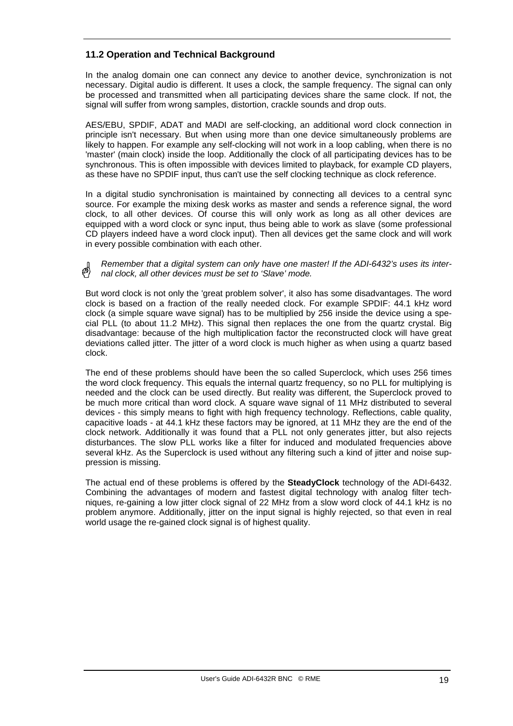#### **11.2 Operation and Technical Background**

In the analog domain one can connect any device to another device, synchronization is not necessary. Digital audio is different. It uses a clock, the sample frequency. The signal can only be processed and transmitted when all participating devices share the same clock. If not, the signal will suffer from wrong samples, distortion, crackle sounds and drop outs.

AES/EBU, SPDIF, ADAT and MADI are self-clocking, an additional word clock connection in principle isn't necessary. But when using more than one device simultaneously problems are likely to happen. For example any self-clocking will not work in a loop cabling, when there is no 'master' (main clock) inside the loop. Additionally the clock of all participating devices has to be synchronous. This is often impossible with devices limited to playback, for example CD players, as these have no SPDIF input, thus can't use the self clocking technique as clock reference.

In a digital studio synchronisation is maintained by connecting all devices to a central sync source. For example the mixing desk works as master and sends a reference signal, the word clock, to all other devices. Of course this will only work as long as all other devices are equipped with a word clock or sync input, thus being able to work as slave (some professional CD players indeed have a word clock input). Then all devices get the same clock and will work in every possible combination with each other.

*Remember that a digital system can only have one master! If the ADI-6432's uses its internal clock, all other devices must be set to 'Slave' mode.*

But word clock is not only the 'great problem solver', it also has some disadvantages. The word clock is based on a fraction of the really needed clock. For example SPDIF: 44.1 kHz word clock (a simple square wave signal) has to be multiplied by 256 inside the device using a special PLL (to about 11.2 MHz). This signal then replaces the one from the quartz crystal. Big disadvantage: because of the high multiplication factor the reconstructed clock will have great deviations called jitter. The jitter of a word clock is much higher as when using a quartz based clock.

The end of these problems should have been the so called Superclock, which uses 256 times the word clock frequency. This equals the internal quartz frequency, so no PLL for multiplying is needed and the clock can be used directly. But reality was different, the Superclock proved to be much more critical than word clock. A square wave signal of 11 MHz distributed to several devices - this simply means to fight with high frequency technology. Reflections, cable quality, capacitive loads - at 44.1 kHz these factors may be ignored, at 11 MHz they are the end of the clock network. Additionally it was found that a PLL not only generates jitter, but also rejects disturbances. The slow PLL works like a filter for induced and modulated frequencies above several kHz. As the Superclock is used without any filtering such a kind of jitter and noise suppression is missing.

The actual end of these problems is offered by the **SteadyClock** technology of the ADI-6432. Combining the advantages of modern and fastest digital technology with analog filter techniques, re-gaining a low jitter clock signal of 22 MHz from a slow word clock of 44.1 kHz is no problem anymore. Additionally, jitter on the input signal is highly rejected, so that even in real world usage the re-gained clock signal is of highest quality.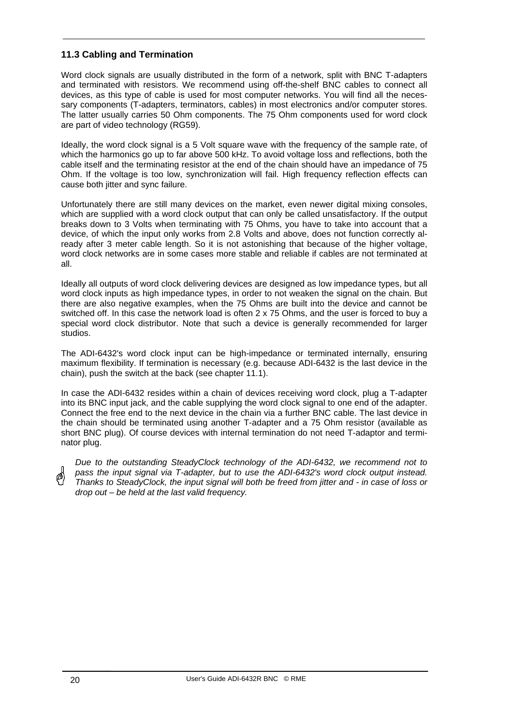#### **11.3 Cabling and Termination**

Word clock signals are usually distributed in the form of a network, split with BNC T-adapters and terminated with resistors. We recommend using off-the-shelf BNC cables to connect all devices, as this type of cable is used for most computer networks. You will find all the necessary components (T-adapters, terminators, cables) in most electronics and/or computer stores. The latter usually carries 50 Ohm components. The 75 Ohm components used for word clock are part of video technology (RG59).

Ideally, the word clock signal is a 5 Volt square wave with the frequency of the sample rate, of which the harmonics go up to far above 500 kHz. To avoid voltage loss and reflections, both the cable itself and the terminating resistor at the end of the chain should have an impedance of 75 Ohm. If the voltage is too low, synchronization will fail. High frequency reflection effects can cause both jitter and sync failure.

Unfortunately there are still many devices on the market, even newer digital mixing consoles, which are supplied with a word clock output that can only be called unsatisfactory. If the output breaks down to 3 Volts when terminating with 75 Ohms, you have to take into account that a device, of which the input only works from 2.8 Volts and above, does not function correctly already after 3 meter cable length. So it is not astonishing that because of the higher voltage, word clock networks are in some cases more stable and reliable if cables are not terminated at all.

Ideally all outputs of word clock delivering devices are designed as low impedance types, but all word clock inputs as high impedance types, in order to not weaken the signal on the chain. But there are also negative examples, when the 75 Ohms are built into the device and cannot be switched off. In this case the network load is often 2 x 75 Ohms, and the user is forced to buy a special word clock distributor. Note that such a device is generally recommended for larger studios.

The ADI-6432's word clock input can be high-impedance or terminated internally, ensuring maximum flexibility. If termination is necessary (e.g. because ADI-6432 is the last device in the chain), push the switch at the back (see chapter 11.1).

In case the ADI-6432 resides within a chain of devices receiving word clock, plug a T-adapter into its BNC input jack, and the cable supplying the word clock signal to one end of the adapter. Connect the free end to the next device in the chain via a further BNC cable. The last device in the chain should be terminated using another T-adapter and a 75 Ohm resistor (available as short BNC plug). Of course devices with internal termination do not need T-adaptor and terminator plug.

*Due to the outstanding SteadyClock technology of the ADI-6432, we recommend not to pass the input signal via T-adapter, but to use the ADI-6432's word clock output instead. Thanks to SteadyClock, the input signal will both be freed from jitter and - in case of loss or drop out – be held at the last valid frequency.*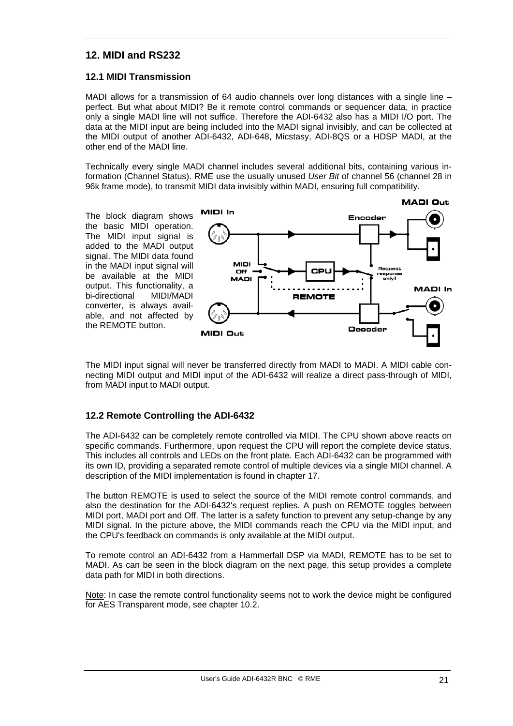#### **12. MIDI and RS232**

#### **12.1 MIDI Transmission**

MADI allows for a transmission of 64 audio channels over long distances with a single line – perfect. But what about MIDI? Be it remote control commands or sequencer data, in practice only a single MADI line will not suffice. Therefore the ADI-6432 also has a MIDI I/O port. The data at the MIDI input are being included into the MADI signal invisibly, and can be collected at the MIDI output of another ADI-6432, ADI-648, Micstasy, ADI-8QS or a HDSP MADI, at the other end of the MADI line.

Technically every single MADI channel includes several additional bits, containing various information (Channel Status). RME use the usually unused *User Bit* of channel 56 (channel 28 in 96k frame mode), to transmit MIDI data invisibly within MADI, ensuring full compatibility.

The block diagram shows the basic MIDI operation. The MIDI input signal is added to the MADI output signal. The MIDI data found in the MADI input signal will be available at the MIDI output. This functionality, a bi-directional MIDI/MADI converter, is always available, and not affected by the REMOTE button.



The MIDI input signal will never be transferred directly from MADI to MADI. A MIDI cable connecting MIDI output and MIDI input of the ADI-6432 will realize a direct pass-through of MIDI, from MADI input to MADI output.

#### **12.2 Remote Controlling the ADI-6432**

The ADI-6432 can be completely remote controlled via MIDI. The CPU shown above reacts on specific commands. Furthermore, upon request the CPU will report the complete device status. This includes all controls and LEDs on the front plate. Each ADI-6432 can be programmed with its own ID, providing a separated remote control of multiple devices via a single MIDI channel. A description of the MIDI implementation is found in chapter 17.

The button REMOTE is used to select the source of the MIDI remote control commands, and also the destination for the ADI-6432's request replies. A push on REMOTE toggles between MIDI port, MADI port and Off. The latter is a safety function to prevent any setup-change by any MIDI signal. In the picture above, the MIDI commands reach the CPU via the MIDI input, and the CPU's feedback on commands is only available at the MIDI output.

To remote control an ADI-6432 from a Hammerfall DSP via MADI, REMOTE has to be set to MADI. As can be seen in the block diagram on the next page, this setup provides a complete data path for MIDI in both directions.

Note: In case the remote control functionality seems not to work the device might be configured for AES Transparent mode, see chapter 10.2.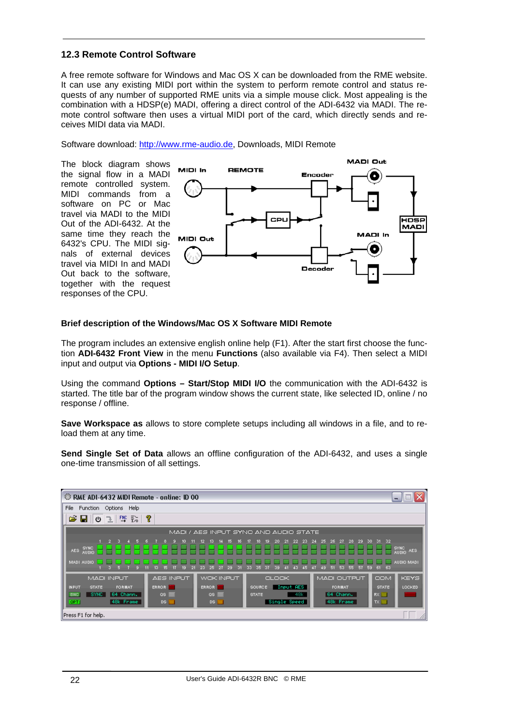#### **12.3 Remote Control Software**

A free remote software for Windows and Mac OS X can be downloaded from the RME website. It can use any existing MIDI port within the system to perform remote control and status requests of any number of supported RME units via a simple mouse click. Most appealing is the combination with a HDSP(e) MADI, offering a direct control of the ADI-6432 via MADI. The remote control software then uses a virtual MIDI port of the card, which directly sends and receives MIDI data via MADI.

Software download: http://www.rme-audio.de, Downloads, MIDI Remote

The block diagram shows the signal flow in a MADI remote controlled system. MIDI commands from a software on PC or Mac travel via MADI to the MIDI Out of the ADI-6432. At the same time they reach the 6432's CPU. The MIDI signals of external devices travel via MIDI In and MADI Out back to the software, together with the request responses of the CPU.



#### **Brief description of the Windows/Mac OS X Software MIDI Remote**

The program includes an extensive english online help (F1). After the start first choose the function **ADI-6432 Front View** in the menu **Functions** (also available via F4). Then select a MIDI input and output via **Options - MIDI I/O Setup**.

Using the command **Options – Start/Stop MIDI I/O** the communication with the ADI-6432 is started. The title bar of the program window shows the current state, like selected ID, online / no response / offline.

**Save Workspace as** allows to store complete setups including all windows in a file, and to reload them at any time.

**Send Single Set of Data** allows an offline configuration of the ADI-6432, and uses a single one-time transmission of all settings.

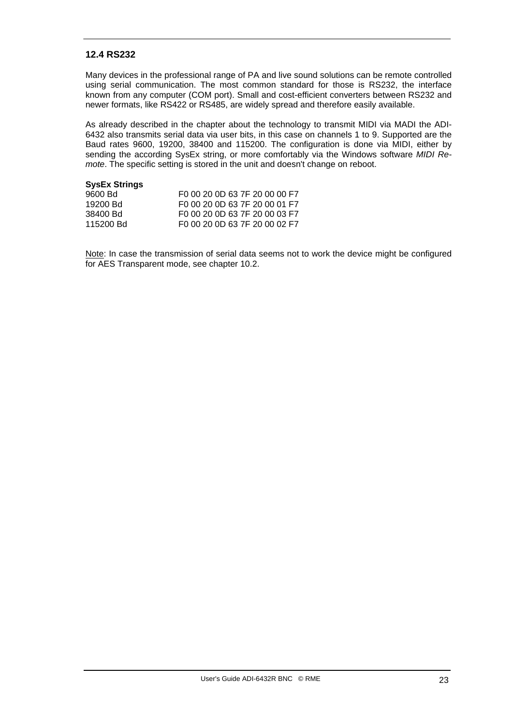#### **12.4 RS232**

Many devices in the professional range of PA and live sound solutions can be remote controlled using serial communication. The most common standard for those is RS232, the interface known from any computer (COM port). Small and cost-efficient converters between RS232 and newer formats, like RS422 or RS485, are widely spread and therefore easily available.

As already described in the chapter about the technology to transmit MIDI via MADI the ADI-6432 also transmits serial data via user bits, in this case on channels 1 to 9. Supported are the Baud rates 9600, 19200, 38400 and 115200. The configuration is done via MIDI, either by sending the according SysEx string, or more comfortably via the Windows software *MIDI Remote*. The specific setting is stored in the unit and doesn't change on reboot.

#### **SysEx Strings**

| 9600 Bd   | F <sub>0</sub> 00 20 0D 63 7F 20 00 00 F7             |
|-----------|-------------------------------------------------------|
| 19200 Bd  | F <sub>0</sub> 00 20 0D 63 7F 20 00 01 F <sub>7</sub> |
| 38400 Bd  | F0 00 20 0D 63 7F 20 00 03 F7                         |
| 115200 Bd | F0 00 20 0D 63 7F 20 00 02 F7                         |

Note: In case the transmission of serial data seems not to work the device might be configured for AES Transparent mode, see chapter 10.2.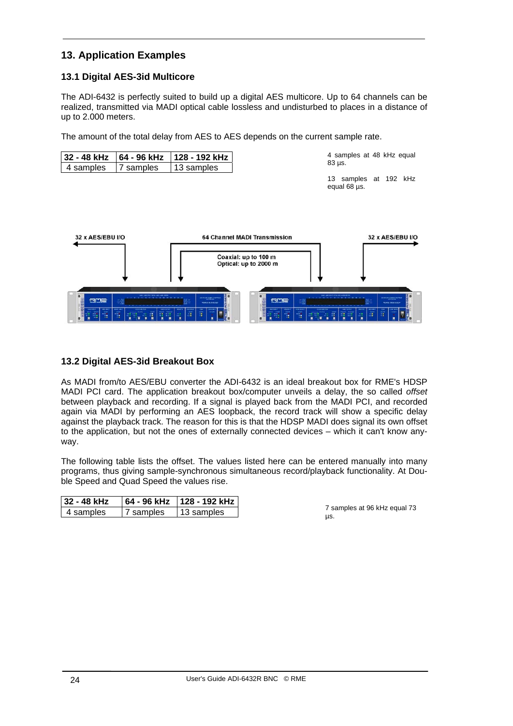#### **13. Application Examples**

#### **13.1 Digital AES-3id Multicore**

The ADI-6432 is perfectly suited to build up a digital AES multicore. Up to 64 channels can be realized, transmitted via MADI optical cable lossless and undisturbed to places in a distance of up to 2.000 meters.

The amount of the total delay from AES to AES depends on the current sample rate.

| 32 - 48 kHz         | 64 - 96 kHz                                       | 128 - 192 kHz                                                                                                  |                                                                               |                            | 4 samples at 48 kHz equal                                        |
|---------------------|---------------------------------------------------|----------------------------------------------------------------------------------------------------------------|-------------------------------------------------------------------------------|----------------------------|------------------------------------------------------------------|
| 4 samples           | 7 samples                                         | 13 samples                                                                                                     |                                                                               | 83 µs.                     |                                                                  |
|                     |                                                   |                                                                                                                |                                                                               | equal 68 µs.               | 13 samples at 192 kHz                                            |
| 32 x AES/EBU I/O    |                                                   |                                                                                                                | 64 Channel MADI Transmission<br>Coaxial: up to 100 m<br>Optical: up to 2000 m |                            | 32 x AES/EBU I/O                                                 |
| RME<br>401.001<br>Ē | <b>MOO 180</b><br>ā<br>等应<br>$\tilde{\mathbf{H}}$ | <b>SANSAS DEALERS</b><br>æ<br><b><i><u>RAN S &amp; ILIUSIAS</u></i></b><br>$\widetilde{\mathcal{A}}$<br>芽<br>ą | RME<br>信                                                                      | $-1$<br>ā<br>百日<br>Ξ<br>44 | <b>Andrew Cipe Livers</b><br><b>MARIN IN OUR BRAND</b><br>Ŧ<br>五 |

#### **13.2 Digital AES-3id Breakout Box**

As MADI from/to AES/EBU converter the ADI-6432 is an ideal breakout box for RME's HDSP MADI PCI card. The application breakout box/computer unveils a delay, the so called *offset* between playback and recording. If a signal is played back from the MADI PCI, and recorded again via MADI by performing an AES loopback, the record track will show a specific delay against the playback track. The reason for this is that the HDSP MADI does signal its own offset to the application, but not the ones of externally connected devices – which it can't know anyway.

The following table lists the offset. The values listed here can be entered manually into many programs, thus giving sample-synchronous simultaneous record/playback functionality. At Double Speed and Quad Speed the values rise.

| 32 - 48 kHz |           | 64 - 96 kHz     128 - 192 kHz |
|-------------|-----------|-------------------------------|
| 4 samples   | 7 samples | 13 samples                    |

7 samples at 96 kHz equal 73 µs.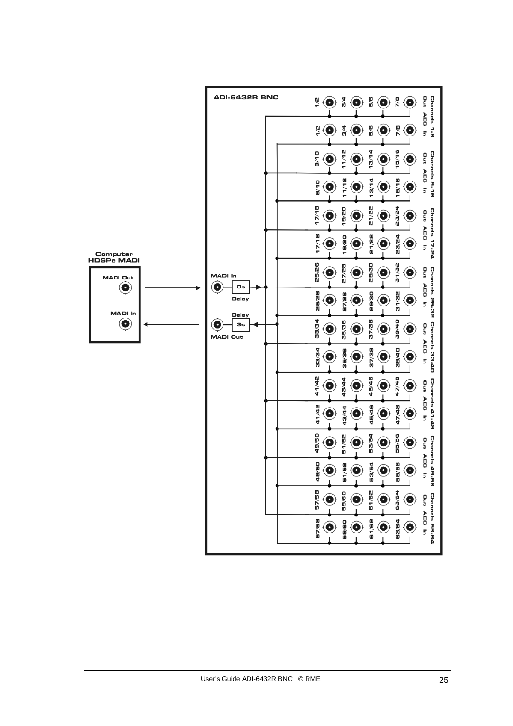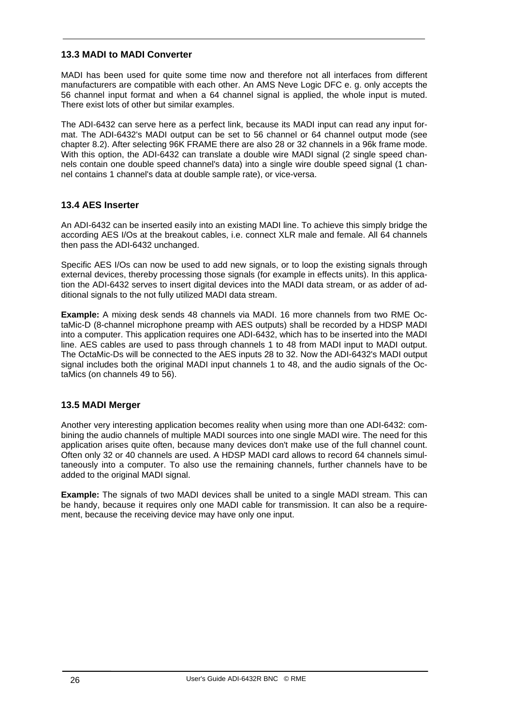#### **13.3 MADI to MADI Converter**

MADI has been used for quite some time now and therefore not all interfaces from different manufacturers are compatible with each other. An AMS Neve Logic DFC e. g. only accepts the 56 channel input format and when a 64 channel signal is applied, the whole input is muted. There exist lots of other but similar examples.

The ADI-6432 can serve here as a perfect link, because its MADI input can read any input format. The ADI-6432's MADI output can be set to 56 channel or 64 channel output mode (see chapter 8.2). After selecting 96K FRAME there are also 28 or 32 channels in a 96k frame mode. With this option, the ADI-6432 can translate a double wire MADI signal (2 single speed channels contain one double speed channel's data) into a single wire double speed signal (1 channel contains 1 channel's data at double sample rate), or vice-versa.

#### **13.4 AES Inserter**

An ADI-6432 can be inserted easily into an existing MADI line. To achieve this simply bridge the according AES I/Os at the breakout cables, i.e. connect XLR male and female. All 64 channels then pass the ADI-6432 unchanged.

Specific AES I/Os can now be used to add new signals, or to loop the existing signals through external devices, thereby processing those signals (for example in effects units). In this application the ADI-6432 serves to insert digital devices into the MADI data stream, or as adder of additional signals to the not fully utilized MADI data stream.

**Example:** A mixing desk sends 48 channels via MADI. 16 more channels from two RME OctaMic-D (8-channel microphone preamp with AES outputs) shall be recorded by a HDSP MADI into a computer. This application requires one ADI-6432, which has to be inserted into the MADI line. AES cables are used to pass through channels 1 to 48 from MADI input to MADI output. The OctaMic-Ds will be connected to the AES inputs 28 to 32. Now the ADI-6432's MADI output signal includes both the original MADI input channels 1 to 48, and the audio signals of the OctaMics (on channels 49 to 56).

#### **13.5 MADI Merger**

Another very interesting application becomes reality when using more than one ADI-6432: combining the audio channels of multiple MADI sources into one single MADI wire. The need for this application arises quite often, because many devices don't make use of the full channel count. Often only 32 or 40 channels are used. A HDSP MADI card allows to record 64 channels simultaneously into a computer. To also use the remaining channels, further channels have to be added to the original MADI signal.

**Example:** The signals of two MADI devices shall be united to a single MADI stream. This can be handy, because it requires only one MADI cable for transmission. It can also be a requirement, because the receiving device may have only one input.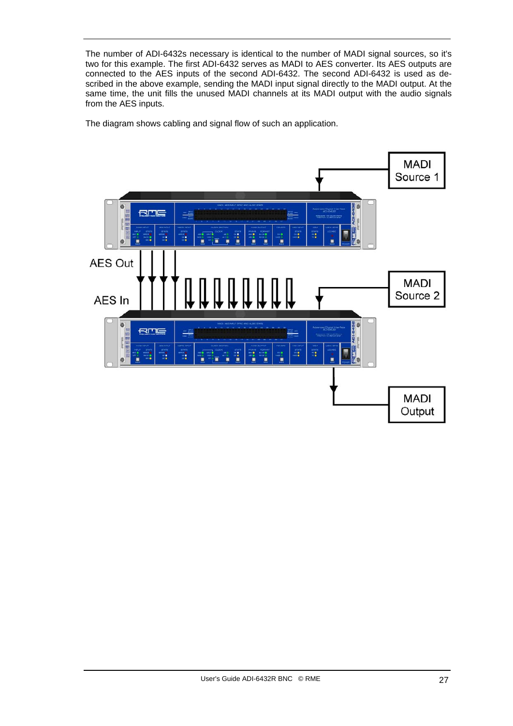The number of ADI-6432s necessary is identical to the number of MADI signal sources, so it's two for this example. The first ADI-6432 serves as MADI to AES converter. Its AES outputs are connected to the AES inputs of the second ADI-6432. The second ADI-6432 is used as described in the above example, sending the MADI input signal directly to the MADI output. At the same time, the unit fills the unused MADI channels at its MADI output with the audio signals from the AES inputs.

The diagram shows cabling and signal flow of such an application.

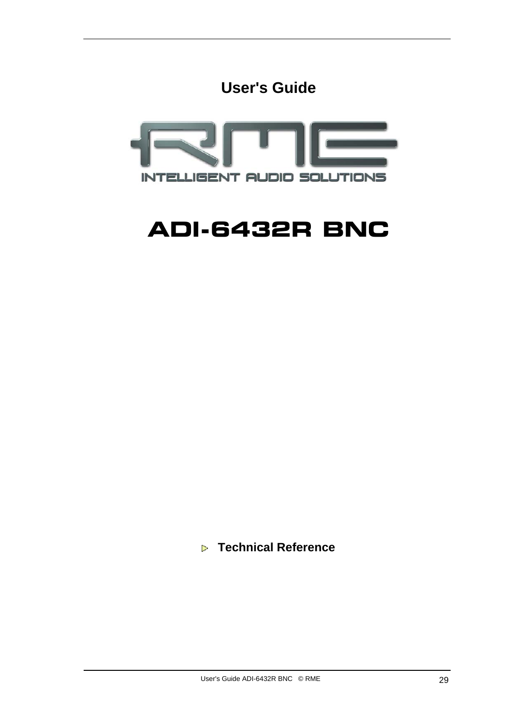**User's Guide**



## **ADI-6432R BNC**

 **Technical Reference**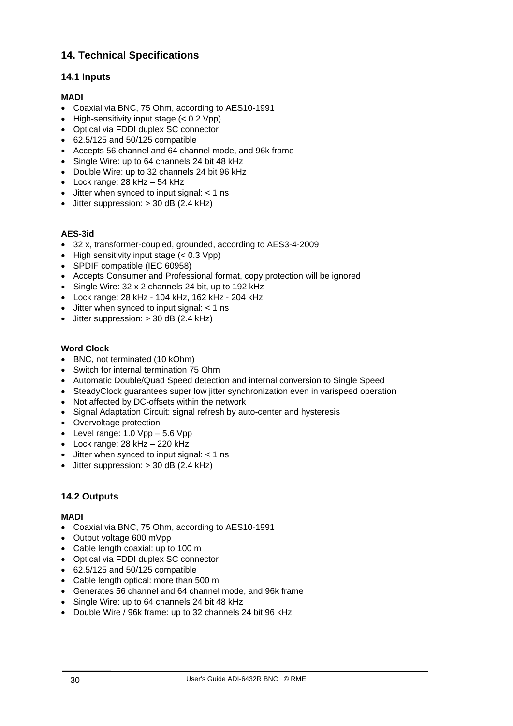#### **14. Technical Specifications**

#### **14.1 Inputs**

#### **MADI**

- Coaxial via BNC, 75 Ohm, according to AES10-1991
- High-sensitivity input stage (< 0.2 Vpp)
- Optical via FDDI duplex SC connector
- 62.5/125 and 50/125 compatible
- Accepts 56 channel and 64 channel mode, and 96k frame
- Single Wire: up to 64 channels 24 bit 48 kHz
- Double Wire: up to 32 channels 24 bit 96 kHz
- Lock range: 28 kHz 54 kHz
- Jitter when synced to input signal: < 1 ns
- Jitter suppression: > 30 dB (2.4 kHz)

#### **AES-3id**

- 32 x, transformer-coupled, grounded, according to AES3-4-2009
- High sensitivity input stage  $( $0.3$  Vpp)$
- SPDIF compatible (IEC 60958)
- Accepts Consumer and Professional format, copy protection will be ignored
- Single Wire: 32 x 2 channels 24 bit, up to 192 kHz
- Lock range: 28 kHz 104 kHz, 162 kHz 204 kHz
- Jitter when synced to input signal: < 1 ns
- Jitter suppression: > 30 dB (2.4 kHz)

#### **Word Clock**

- BNC, not terminated (10 kOhm)
- Switch for internal termination 75 Ohm
- Automatic Double/Quad Speed detection and internal conversion to Single Speed
- SteadyClock guarantees super low jitter synchronization even in varispeed operation
- Not affected by DC-offsets within the network
- Signal Adaptation Circuit: signal refresh by auto-center and hysteresis
- Overvoltage protection
- Level range:  $1.0 \text{ Vpp} 5.6 \text{ Vpp}$
- Lock range: 28 kHz 220 kHz
- $\bullet$  Jitter when synced to input signal:  $<$  1 ns
- $\bullet$  Jitter suppression:  $>$  30 dB (2.4 kHz)

#### **14.2 Outputs**

#### **MADI**

- Coaxial via BNC, 75 Ohm, according to AES10-1991
- Output voltage 600 mVpp
- Cable length coaxial: up to 100 m
- Optical via FDDI duplex SC connector
- 62.5/125 and 50/125 compatible
- Cable length optical: more than 500 m
- Generates 56 channel and 64 channel mode, and 96k frame
- Single Wire: up to 64 channels 24 bit 48 kHz
- Double Wire / 96k frame: up to 32 channels 24 bit 96 kHz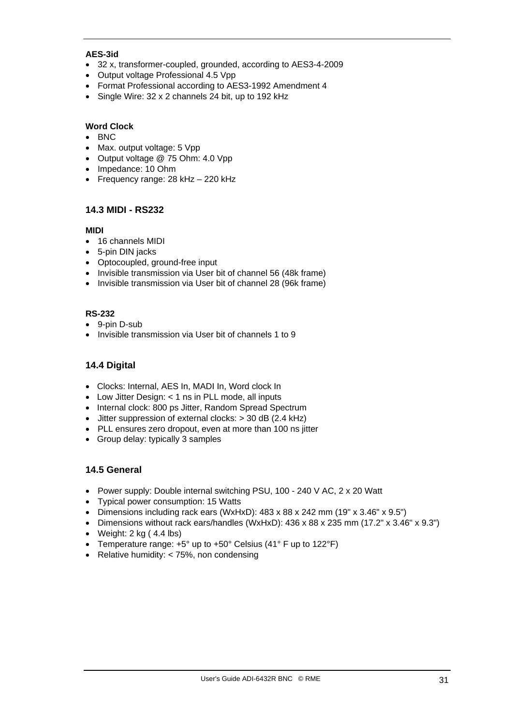#### **AES-3id**

- 32 x, transformer-coupled, grounded, according to AES3-4-2009
- Output voltage Professional 4.5 Vpp
- Format Professional according to AES3-1992 Amendment 4
- Single Wire: 32 x 2 channels 24 bit, up to 192 kHz

#### **Word Clock**

- BNC
- Max. output voltage: 5 Vpp
- Output voltage @ 75 Ohm: 4.0 Vpp
- Impedance: 10 Ohm
- Frequency range: 28 kHz 220 kHz

#### **14.3 MIDI - RS232**

#### **MIDI**

- 16 channels MIDI
- 5-pin DIN jacks
- Optocoupled, ground-free input
- Invisible transmission via User bit of channel 56 (48k frame)
- Invisible transmission via User bit of channel 28 (96k frame)

#### **RS-232**

- 9-pin D-sub
- Invisible transmission via User bit of channels 1 to 9

#### **14.4 Digital**

- Clocks: Internal, AES In, MADI In, Word clock In
- Low Jitter Design: < 1 ns in PLL mode, all inputs
- Internal clock: 800 ps Jitter, Random Spread Spectrum
- Jitter suppression of external clocks: > 30 dB (2.4 kHz)
- PLL ensures zero dropout, even at more than 100 ns jitter
- Group delay: typically 3 samples

#### **14.5 General**

- Power supply: Double internal switching PSU, 100 240 V AC, 2 x 20 Watt
- Typical power consumption: 15 Watts
- Dimensions including rack ears (WxHxD): 483 x 88 x 242 mm (19" x 3.46" x 9.5")
- Dimensions without rack ears/handles (WxHxD): 436 x 88 x 235 mm (17.2" x 3.46" x 9.3")
- Weight:  $2 \text{ kg}$  (  $4.4 \text{ lbs}$ )
- Temperature range: +5° up to +50° Celsius (41° F up to 122°F)
- Relative humidity: < 75%, non condensing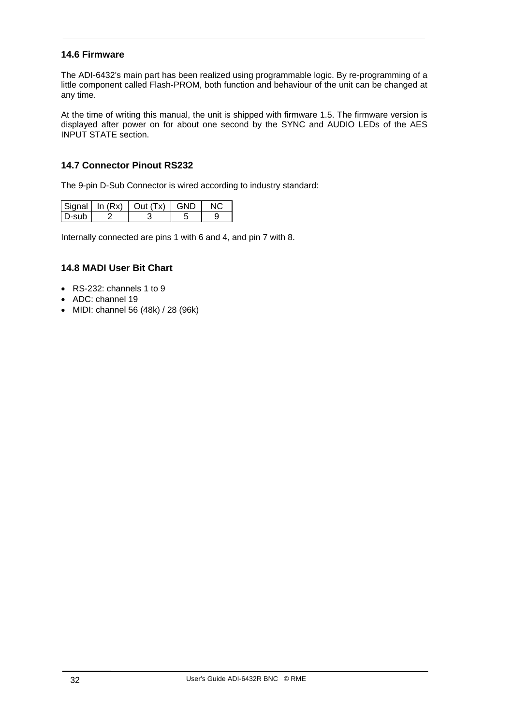#### **14.6 Firmware**

The ADI-6432's main part has been realized using programmable logic. By re-programming of a little component called Flash-PROM, both function and behaviour of the unit can be changed at any time.

At the time of writing this manual, the unit is shipped with firmware 1.5. The firmware version is displayed after power on for about one second by the SYNC and AUDIO LEDs of the AES INPUT STATE section.

#### **14.7 Connector Pinout RS232**

The 9-pin D-Sub Connector is wired according to industry standard:

|         | $ \text{Signal} $ In $(Rx)$   Out $(Tx)$   GND |  |
|---------|------------------------------------------------|--|
| l D-sub |                                                |  |

Internally connected are pins 1 with 6 and 4, and pin 7 with 8.

#### **14.8 MADI User Bit Chart**

- RS-232: channels 1 to 9
- ADC: channel 19
- MIDI: channel 56 (48k) / 28 (96k)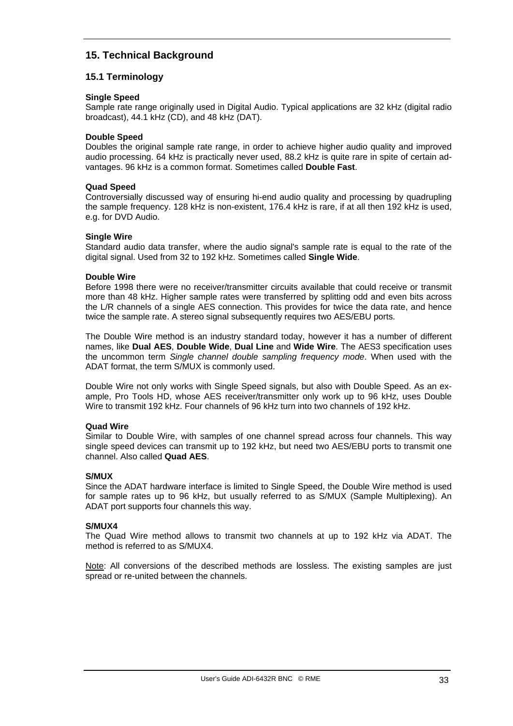#### **15. Technical Background**

#### **15.1 Terminology**

#### **Single Speed**

Sample rate range originally used in Digital Audio. Typical applications are 32 kHz (digital radio broadcast), 44.1 kHz (CD), and 48 kHz (DAT).

#### **Double Speed**

Doubles the original sample rate range, in order to achieve higher audio quality and improved audio processing. 64 kHz is practically never used, 88.2 kHz is quite rare in spite of certain advantages. 96 kHz is a common format. Sometimes called **Double Fast**.

#### **Quad Speed**

Controversially discussed way of ensuring hi-end audio quality and processing by quadrupling the sample frequency. 128 kHz is non-existent, 176.4 kHz is rare, if at all then 192 kHz is used, e.g. for DVD Audio.

#### **Single Wire**

Standard audio data transfer, where the audio signal's sample rate is equal to the rate of the digital signal. Used from 32 to 192 kHz. Sometimes called **Single Wide**.

#### **Double Wire**

Before 1998 there were no receiver/transmitter circuits available that could receive or transmit more than 48 kHz. Higher sample rates were transferred by splitting odd and even bits across the L/R channels of a single AES connection. This provides for twice the data rate, and hence twice the sample rate. A stereo signal subsequently requires two AES/EBU ports.

The Double Wire method is an industry standard today, however it has a number of different names, like **Dual AES**, **Double Wide**, **Dual Line** and **Wide Wire**. The AES3 specification uses the uncommon term *Single channel double sampling frequency mode*. When used with the ADAT format, the term S/MUX is commonly used.

Double Wire not only works with Single Speed signals, but also with Double Speed. As an example, Pro Tools HD, whose AES receiver/transmitter only work up to 96 kHz, uses Double Wire to transmit 192 kHz. Four channels of 96 kHz turn into two channels of 192 kHz.

#### **Quad Wire**

Similar to Double Wire, with samples of one channel spread across four channels. This way single speed devices can transmit up to 192 kHz, but need two AES/EBU ports to transmit one channel. Also called **Quad AES**.

#### **S/MUX**

Since the ADAT hardware interface is limited to Single Speed, the Double Wire method is used for sample rates up to 96 kHz, but usually referred to as S/MUX (Sample Multiplexing). An ADAT port supports four channels this way.

#### **S/MUX4**

The Quad Wire method allows to transmit two channels at up to 192 kHz via ADAT. The method is referred to as S/MUX4.

Note: All conversions of the described methods are lossless. The existing samples are just spread or re-united between the channels.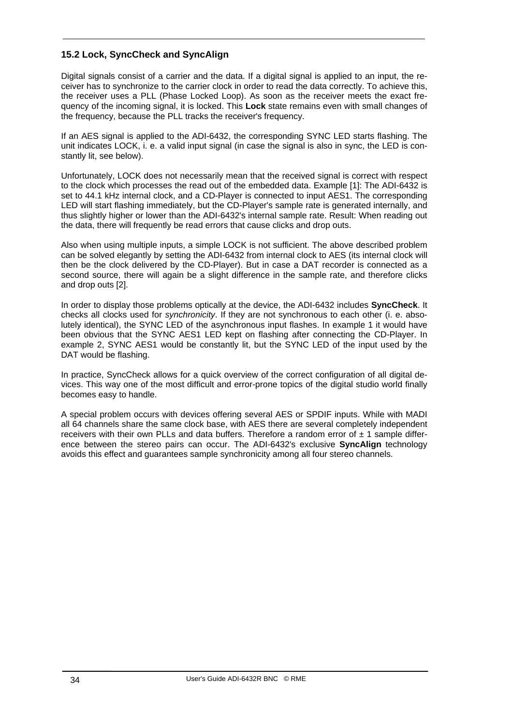#### **15.2 Lock, SyncCheck and SyncAlign**

Digital signals consist of a carrier and the data. If a digital signal is applied to an input, the receiver has to synchronize to the carrier clock in order to read the data correctly. To achieve this, the receiver uses a PLL (Phase Locked Loop). As soon as the receiver meets the exact frequency of the incoming signal, it is locked. This **Lock** state remains even with small changes of the frequency, because the PLL tracks the receiver's frequency.

If an AES signal is applied to the ADI-6432, the corresponding SYNC LED starts flashing. The unit indicates LOCK, i. e. a valid input signal (in case the signal is also in sync, the LED is constantly lit, see below).

Unfortunately, LOCK does not necessarily mean that the received signal is correct with respect to the clock which processes the read out of the embedded data. Example [1]: The ADI-6432 is set to 44.1 kHz internal clock, and a CD-Player is connected to input AES1. The corresponding LED will start flashing immediately, but the CD-Player's sample rate is generated internally, and thus slightly higher or lower than the ADI-6432's internal sample rate. Result: When reading out the data, there will frequently be read errors that cause clicks and drop outs.

Also when using multiple inputs, a simple LOCK is not sufficient. The above described problem can be solved elegantly by setting the ADI-6432 from internal clock to AES (its internal clock will then be the clock delivered by the CD-Player). But in case a DAT recorder is connected as a second source, there will again be a slight difference in the sample rate, and therefore clicks and drop outs [2].

In order to display those problems optically at the device, the ADI-6432 includes **SyncCheck**. It checks all clocks used for *synchronicity*. If they are not synchronous to each other (i. e. absolutely identical), the SYNC LED of the asynchronous input flashes. In example 1 it would have been obvious that the SYNC AES1 LED kept on flashing after connecting the CD-Player. In example 2, SYNC AES1 would be constantly lit, but the SYNC LED of the input used by the DAT would be flashing.

In practice, SyncCheck allows for a quick overview of the correct configuration of all digital devices. This way one of the most difficult and error-prone topics of the digital studio world finally becomes easy to handle.

A special problem occurs with devices offering several AES or SPDIF inputs. While with MADI all 64 channels share the same clock base, with AES there are several completely independent receivers with their own PLLs and data buffers. Therefore a random error of  $\pm$  1 sample difference between the stereo pairs can occur. The ADI-6432's exclusive **SyncAlign** technology avoids this effect and guarantees sample synchronicity among all four stereo channels.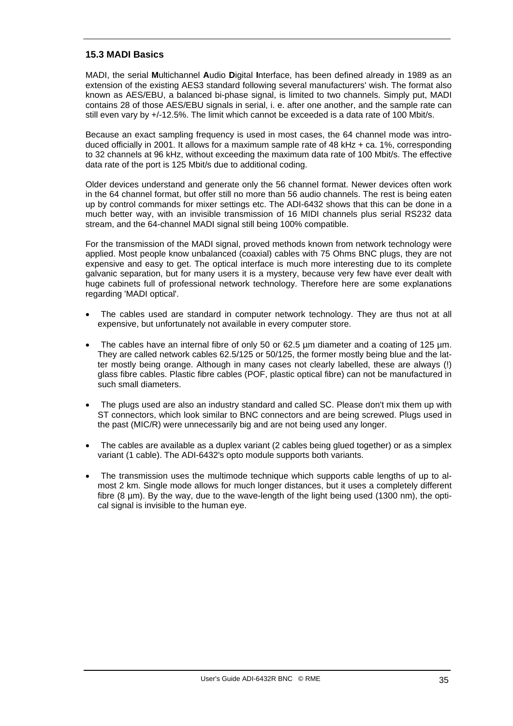#### **15.3 MADI Basics**

MADI, the serial **M**ultichannel **A**udio **D**igital **I**nterface, has been defined already in 1989 as an extension of the existing AES3 standard following several manufacturers' wish. The format also known as AES/EBU, a balanced bi-phase signal, is limited to two channels. Simply put, MADI contains 28 of those AES/EBU signals in serial, i. e. after one another, and the sample rate can still even vary by +/-12.5%. The limit which cannot be exceeded is a data rate of 100 Mbit/s.

Because an exact sampling frequency is used in most cases, the 64 channel mode was introduced officially in 2001. It allows for a maximum sample rate of 48 kHz + ca. 1%, corresponding to 32 channels at 96 kHz, without exceeding the maximum data rate of 100 Mbit/s. The effective data rate of the port is 125 Mbit/s due to additional coding.

Older devices understand and generate only the 56 channel format. Newer devices often work in the 64 channel format, but offer still no more than 56 audio channels. The rest is being eaten up by control commands for mixer settings etc. The ADI-6432 shows that this can be done in a much better way, with an invisible transmission of 16 MIDI channels plus serial RS232 data stream, and the 64-channel MADI signal still being 100% compatible.

For the transmission of the MADI signal, proved methods known from network technology were applied. Most people know unbalanced (coaxial) cables with 75 Ohms BNC plugs, they are not expensive and easy to get. The optical interface is much more interesting due to its complete galvanic separation, but for many users it is a mystery, because very few have ever dealt with huge cabinets full of professional network technology. Therefore here are some explanations regarding 'MADI optical'.

- The cables used are standard in computer network technology. They are thus not at all expensive, but unfortunately not available in every computer store.
- The cables have an internal fibre of only 50 or 62.5 um diameter and a coating of 125 um. They are called network cables 62.5/125 or 50/125, the former mostly being blue and the latter mostly being orange. Although in many cases not clearly labelled, these are always (!) glass fibre cables. Plastic fibre cables (POF, plastic optical fibre) can not be manufactured in such small diameters.
- The plugs used are also an industry standard and called SC. Please don't mix them up with ST connectors, which look similar to BNC connectors and are being screwed. Plugs used in the past (MIC/R) were unnecessarily big and are not being used any longer.
- The cables are available as a duplex variant (2 cables being glued together) or as a simplex variant (1 cable). The ADI-6432's opto module supports both variants.
- The transmission uses the multimode technique which supports cable lengths of up to almost 2 km. Single mode allows for much longer distances, but it uses a completely different fibre (8 µm). By the way, due to the wave-length of the light being used (1300 nm), the optical signal is invisible to the human eye.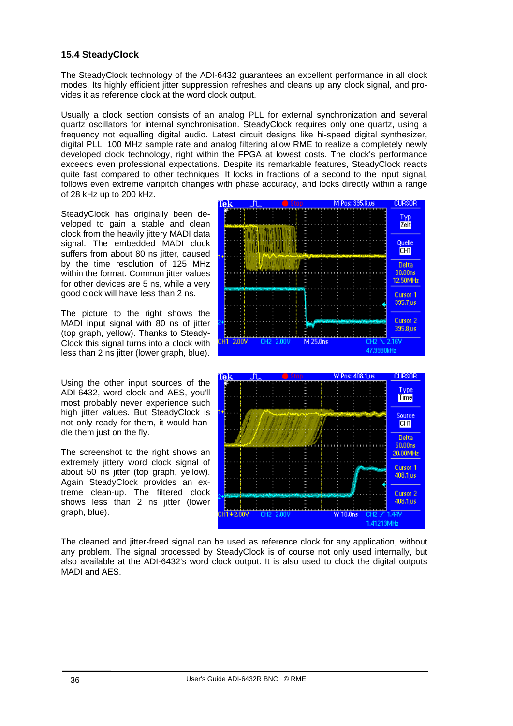#### **15.4 SteadyClock**

The SteadyClock technology of the ADI-6432 guarantees an excellent performance in all clock modes. Its highly efficient jitter suppression refreshes and cleans up any clock signal, and provides it as reference clock at the word clock output.

Usually a clock section consists of an analog PLL for external synchronization and several quartz oscillators for internal synchronisation. SteadyClock requires only one quartz, using a frequency not equalling digital audio. Latest circuit designs like hi-speed digital synthesizer, digital PLL, 100 MHz sample rate and analog filtering allow RME to realize a completely newly developed clock technology, right within the FPGA at lowest costs. The clock's performance exceeds even professional expectations. Despite its remarkable features, SteadyClock reacts quite fast compared to other techniques. It locks in fractions of a second to the input signal, follows even extreme varipitch changes with phase accuracy, and locks directly within a range of 28 kHz up to 200 kHz.

SteadyClock has originally been developed to gain a stable and clean clock from the heavily jittery MADI data signal. The embedded MADI clock suffers from about 80 ns jitter, caused by the time resolution of 125 MHz within the format. Common jitter values for other devices are 5 ns, while a very good clock will have less than 2 ns.

The picture to the right shows the MADI input signal with 80 ns of jitter (top graph, yellow). Thanks to Steady-Clock this signal turns into a clock with less than 2 ns jitter (lower graph, blue).

Using the other input sources of the ADI-6432, word clock and AES, you'll most probably never experience such high jitter values. But SteadyClock is not only ready for them, it would handle them just on the fly.

The screenshot to the right shows an extremely jittery word clock signal of about 50 ns jitter (top graph, yellow). Again SteadyClock provides an extreme clean-up. The filtered clock shows less than 2 ns jitter (lower graph, blue).





The cleaned and jitter-freed signal can be used as reference clock for any application, without any problem. The signal processed by SteadyClock is of course not only used internally, but also available at the ADI-6432's word clock output. It is also used to clock the digital outputs MADI and AES.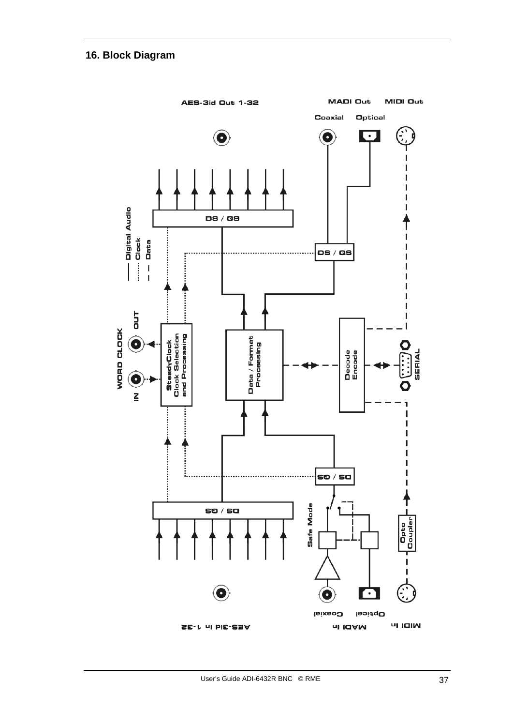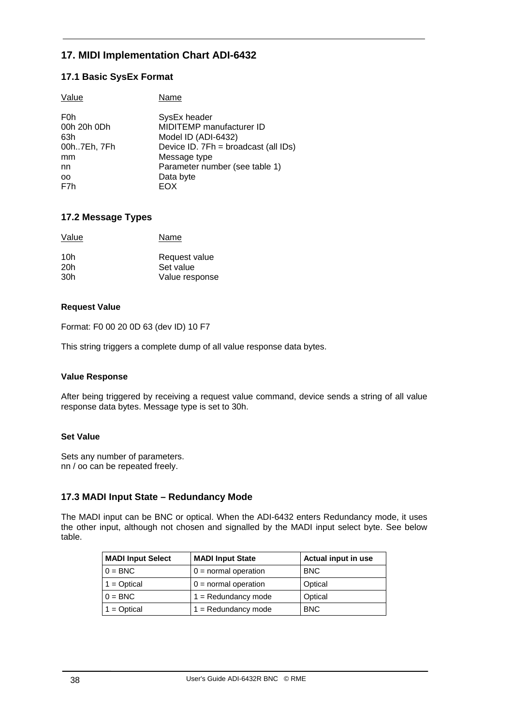#### **17. MIDI Implementation Chart ADI-6432**

#### **17.1 Basic SysEx Format**

| Value            | Name                                 |
|------------------|--------------------------------------|
| F <sub>0</sub> h | SysEx header                         |
| 00h 20h 0Dh      | MIDITEMP manufacturer ID             |
| 63h              | Model ID (ADI-6432)                  |
| 00h7Eh, 7Fh      | Device ID. 7Fh = broadcast (all IDs) |
| mm               | Message type                         |
| nn               | Parameter number (see table 1)       |
| oo               | Data byte                            |
| F7h              | EOX                                  |
|                  |                                      |

#### **17.2 Message Types**

| Value | Name           |
|-------|----------------|
| 10h   | Request value  |
| 20h   | Set value      |
| 30h   | Value response |

#### **Request Value**

Format: F0 00 20 0D 63 (dev ID) 10 F7

This string triggers a complete dump of all value response data bytes.

#### **Value Response**

After being triggered by receiving a request value command, device sends a string of all value response data bytes. Message type is set to 30h.

#### **Set Value**

Sets any number of parameters. nn / oo can be repeated freely.

#### **17.3 MADI Input State – Redundancy Mode**

The MADI input can be BNC or optical. When the ADI-6432 enters Redundancy mode, it uses the other input, although not chosen and signalled by the MADI input select byte. See below table.

| <b>MADI Input Select</b> | <b>MADI Input State</b> | Actual input in use |
|--------------------------|-------------------------|---------------------|
| $0 = BNC$                | $0 =$ normal operation  | <b>BNC</b>          |
| $1 = Optical$            | $0 =$ normal operation  | Optical             |
| $0 = BNC$                | $1 = Redundancy mode$   | Optical             |
| $1 = Optical$            | $1 = Redundancy mode$   | <b>BNC</b>          |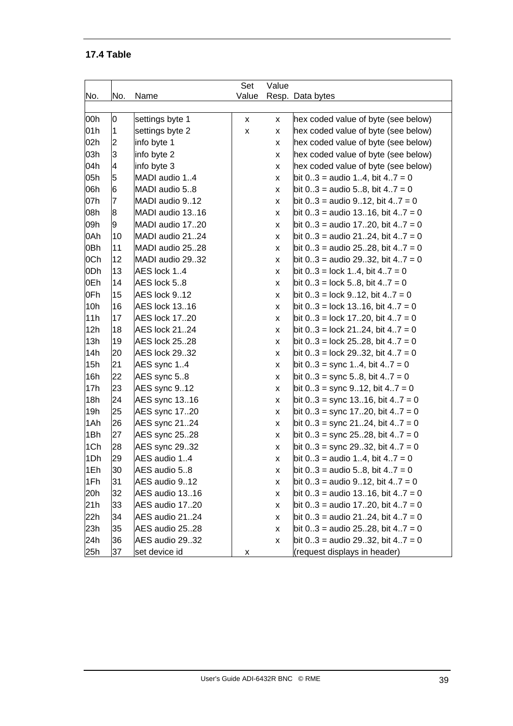#### **17.4 Table**

|     |                |                      | Set   | Value |                                              |
|-----|----------------|----------------------|-------|-------|----------------------------------------------|
| No. | No.            | Name                 | Value |       | Resp. Data bytes                             |
|     |                |                      |       |       |                                              |
| 00h | 0              | settings byte 1      | X     | X     | hex coded value of byte (see below)          |
| 01h | $\overline{1}$ | settings byte 2      | X     | x     | hex coded value of byte (see below)          |
| 02h | 2              | info byte 1          |       | X     | hex coded value of byte (see below)          |
| 03h | 3              | info byte 2          |       | X     | hex coded value of byte (see below)          |
| 04h | 4              | info byte 3          |       | X     | hex coded value of byte (see below)          |
| 05h | 5              | MADI audio 14        |       | x     | bit $0.3$ = audio 14, bit 47 = 0             |
| 06h | 6              | MADI audio 58        |       | X     | bit $0.3$ = audio 5.8, bit $4.7 = 0$         |
| 07h | $\overline{7}$ | MADI audio 912       |       | X     | bit $0.3$ = audio 912, bit $4.7 = 0$         |
| 08h | 8              | MADI audio 1316      |       | X     | bit $0.3$ = audio 1316, bit 47 = 0           |
| 09h | 9              | MADI audio 1720      |       | X     | bit 03 = audio 1720, bit 47 = 0              |
| 0Ah | 10             | MADI audio 2124      |       | X     | bit $03$ = audio 2124, bit $47 = 0$          |
| 0Bh | 11             | MADI audio 2528      |       | X     | bit $0.3$ = audio 2528, bit $4.7 = 0$        |
| 0Ch | 12             | MADI audio 2932      |       | X     | bit $0.3$ = audio 2932, bit $4.7 = 0$        |
| 0Dh | 13             | AES lock 14          |       | X     | bit $0.3 = \text{lock } 1.4$ , bit $4.7 = 0$ |
| 0Eh | 14             | AES lock 5.8         |       | X     | bit $0.3$ = lock 58, bit $4.7 = 0$           |
| 0Fh | 15             | AES lock 912         |       | X     | bit $0.3$ = lock 912, bit $4.7 = 0$          |
| 10h | 16             | <b>AES lock 1316</b> |       | x     | bit $0.3$ = lock 1316, bit $4.7 = 0$         |
| 11h | 17             | AES lock 1720        |       | X     | bit $0.3$ = lock 1720, bit $4.7 = 0$         |
| 12h | 18             | AES lock 2124        |       | X     | bit $03$ = lock 2124, bit $47 = 0$           |
| 13h | 19             | <b>AES lock 2528</b> |       | X     | bit $0.3$ = lock 2528, bit $4.7 = 0$         |
| 14h | 20             | <b>AES lock 2932</b> |       | x     | bit $0.3$ = lock 2932, bit $4.7 = 0$         |
| 15h | 21             | AES sync 14          |       | X     | bit $0.3$ = sync 14, bit $4.7 = 0$           |
| 16h | 22             | AES sync 58          |       | X     | bit $0.3$ = sync 58, bit $4.7 = 0$           |
| 17h | 23             | AES sync 912         |       | X     | bit $0.3$ = sync $9.12$ , bit $4.7 = 0$      |
| 18h | 24             | AES sync 1316        |       | x     | bit 03 = sync 1316, bit 47 = 0               |
| 19h | 25             | AES sync 1720        |       | X     | bit $0.3$ = sync 1720, bit $4.7 = 0$         |
| 1Ah | 26             | AES sync 2124        |       | X     | bit $0.3$ = sync 2124, bit $4.7 = 0$         |
| 1Bh | 27             | AES sync 2528        |       | X     | bit 03 = sync 2528, bit 47 = 0               |
| 1Ch | 28             | AES sync 2932        |       | x     | bit $0.3$ = sync 2932, bit $4.7 = 0$         |
| 1Dh | 29             | AES audio 14         |       | X     | bit $0.3$ = audio 14, bit $4.7 = 0$          |
| 1Eh | 30             | AES audio 58         |       | x     | bit $0.3$ = audio 5.8, bit $4.7 = 0$         |
| 1Fh | 31             | AES audio 912        |       | X     | bit $0.3$ = audio 912, bit $4.7 = 0$         |
| 20h | 32             | AES audio 1316       |       | X     | bit $03$ = audio 1316, bit $47 = 0$          |
| 21h | 33             | AES audio 1720       |       | X     | bit $0.3$ = audio 1720, bit $4.7 = 0$        |
| 22h | 34             | AES audio 2124       |       | X     | bit $03$ = audio 2124, bit $47 = 0$          |
| 23h | 35             | AES audio 2528       |       | X     | bit $0.3$ = audio 2528, bit 47 = 0           |
| 24h | 36             | AES audio 2932       |       | X     | bit $0.3$ = audio 2932, bit $4.7 = 0$        |
| 25h | 37             | set device id        | X     |       | (request displays in header)                 |